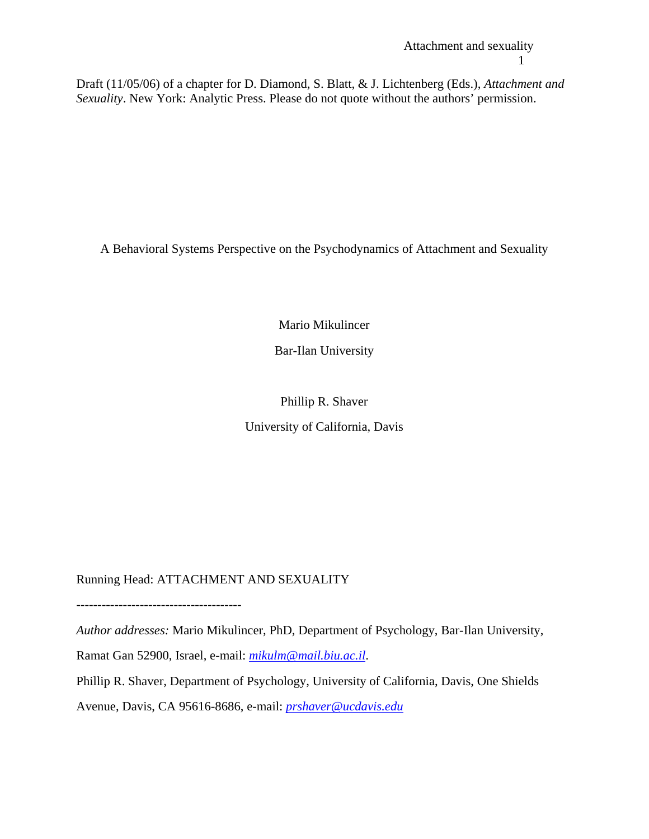Draft (11/05/06) of a chapter for D. Diamond, S. Blatt, & J. Lichtenberg (Eds.), *Attachment and Sexuality*. New York: Analytic Press. Please do not quote without the authors' permission.

A Behavioral Systems Perspective on the Psychodynamics of Attachment and Sexuality

Mario Mikulincer

Bar-Ilan University

Phillip R. Shaver

University of California, Davis

Running Head: ATTACHMENT AND SEXUALITY

*---------------------------------------* 

*Author addresses:* Mario Mikulincer, PhD, Department of Psychology, Bar-Ilan University,

Ramat Gan 52900, Israel, e-mail: *[mikulm@mail.biu.ac.il](mailto:mikulm@mail.biu.ac.il)*.

Phillip R. Shaver, Department of Psychology, University of California, Davis, One Shields

Avenue, Davis, CA 95616-8686, e-mail: *prshaver@ucdavis.edu*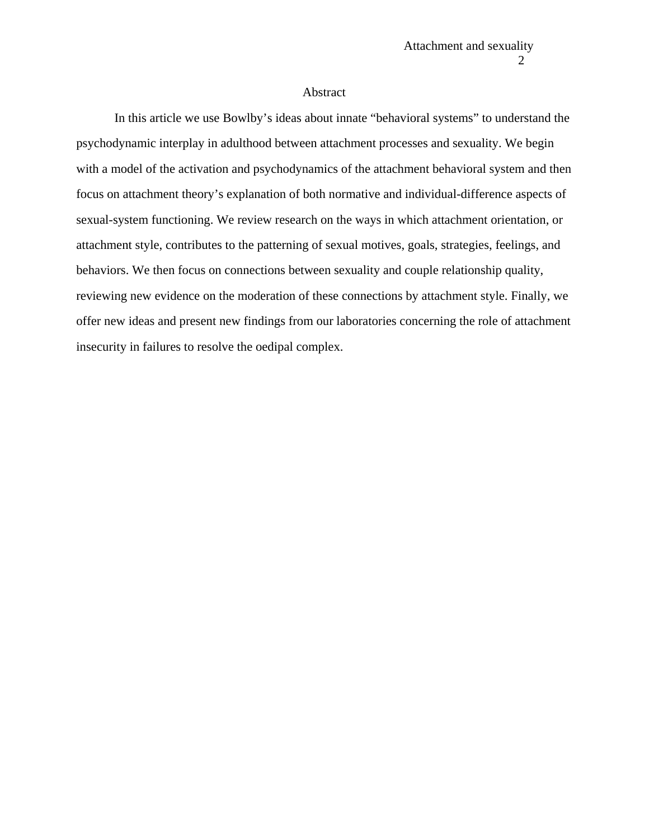#### Abstract

In this article we use Bowlby's ideas about innate "behavioral systems" to understand the psychodynamic interplay in adulthood between attachment processes and sexuality. We begin with a model of the activation and psychodynamics of the attachment behavioral system and then focus on attachment theory's explanation of both normative and individual-difference aspects of sexual-system functioning. We review research on the ways in which attachment orientation, or attachment style, contributes to the patterning of sexual motives, goals, strategies, feelings, and behaviors. We then focus on connections between sexuality and couple relationship quality, reviewing new evidence on the moderation of these connections by attachment style. Finally, we offer new ideas and present new findings from our laboratories concerning the role of attachment insecurity in failures to resolve the oedipal complex.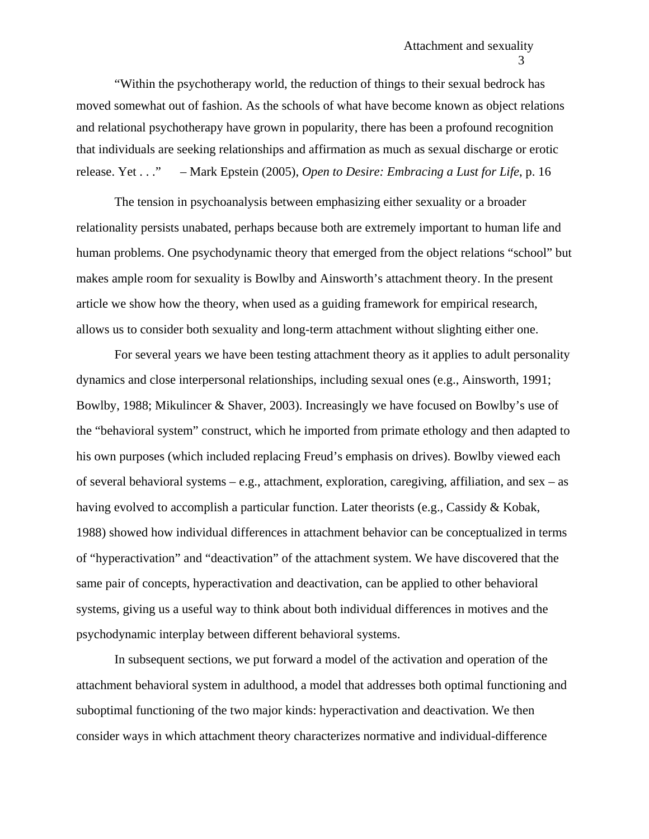"Within the psychotherapy world, the reduction of things to their sexual bedrock has moved somewhat out of fashion. As the schools of what have become known as object relations and relational psychotherapy have grown in popularity, there has been a profound recognition that individuals are seeking relationships and affirmation as much as sexual discharge or erotic release. Yet . . ." – Mark Epstein (2005), *Open to Desire: Embracing a Lust for Life*, p. 16

The tension in psychoanalysis between emphasizing either sexuality or a broader relationality persists unabated, perhaps because both are extremely important to human life and human problems. One psychodynamic theory that emerged from the object relations "school" but makes ample room for sexuality is Bowlby and Ainsworth's attachment theory. In the present article we show how the theory, when used as a guiding framework for empirical research, allows us to consider both sexuality and long-term attachment without slighting either one.

For several years we have been testing attachment theory as it applies to adult personality dynamics and close interpersonal relationships, including sexual ones (e.g., Ainsworth, 1991; Bowlby, 1988; Mikulincer & Shaver, 2003). Increasingly we have focused on Bowlby's use of the "behavioral system" construct, which he imported from primate ethology and then adapted to his own purposes (which included replacing Freud's emphasis on drives). Bowlby viewed each of several behavioral systems – e.g., attachment, exploration, caregiving, affiliation, and sex – as having evolved to accomplish a particular function. Later theorists (e.g., Cassidy & Kobak, 1988) showed how individual differences in attachment behavior can be conceptualized in terms of "hyperactivation" and "deactivation" of the attachment system. We have discovered that the same pair of concepts, hyperactivation and deactivation, can be applied to other behavioral systems, giving us a useful way to think about both individual differences in motives and the psychodynamic interplay between different behavioral systems.

In subsequent sections, we put forward a model of the activation and operation of the attachment behavioral system in adulthood, a model that addresses both optimal functioning and suboptimal functioning of the two major kinds: hyperactivation and deactivation. We then consider ways in which attachment theory characterizes normative and individual-difference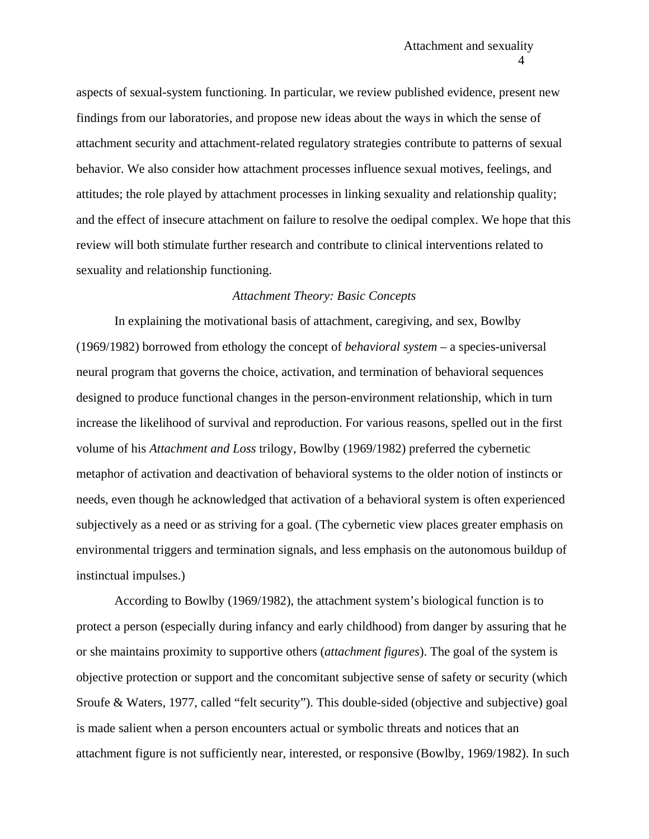aspects of sexual-system functioning. In particular, we review published evidence, present new findings from our laboratories, and propose new ideas about the ways in which the sense of attachment security and attachment-related regulatory strategies contribute to patterns of sexual behavior. We also consider how attachment processes influence sexual motives, feelings, and attitudes; the role played by attachment processes in linking sexuality and relationship quality; and the effect of insecure attachment on failure to resolve the oedipal complex. We hope that this review will both stimulate further research and contribute to clinical interventions related to sexuality and relationship functioning.

## *Attachment Theory: Basic Concepts*

In explaining the motivational basis of attachment, caregiving, and sex, Bowlby (1969/1982) borrowed from ethology the concept of *behavioral system* – a species-universal neural program that governs the choice, activation, and termination of behavioral sequences designed to produce functional changes in the person-environment relationship, which in turn increase the likelihood of survival and reproduction. For various reasons, spelled out in the first volume of his *Attachment and Loss* trilogy, Bowlby (1969/1982) preferred the cybernetic metaphor of activation and deactivation of behavioral systems to the older notion of instincts or needs, even though he acknowledged that activation of a behavioral system is often experienced subjectively as a need or as striving for a goal. (The cybernetic view places greater emphasis on environmental triggers and termination signals, and less emphasis on the autonomous buildup of instinctual impulses.)

According to Bowlby (1969/1982), the attachment system's biological function is to protect a person (especially during infancy and early childhood) from danger by assuring that he or she maintains proximity to supportive others (*attachment figures*). The goal of the system is objective protection or support and the concomitant subjective sense of safety or security (which Sroufe & Waters, 1977, called "felt security"). This double-sided (objective and subjective) goal is made salient when a person encounters actual or symbolic threats and notices that an attachment figure is not sufficiently near, interested, or responsive (Bowlby, 1969/1982). In such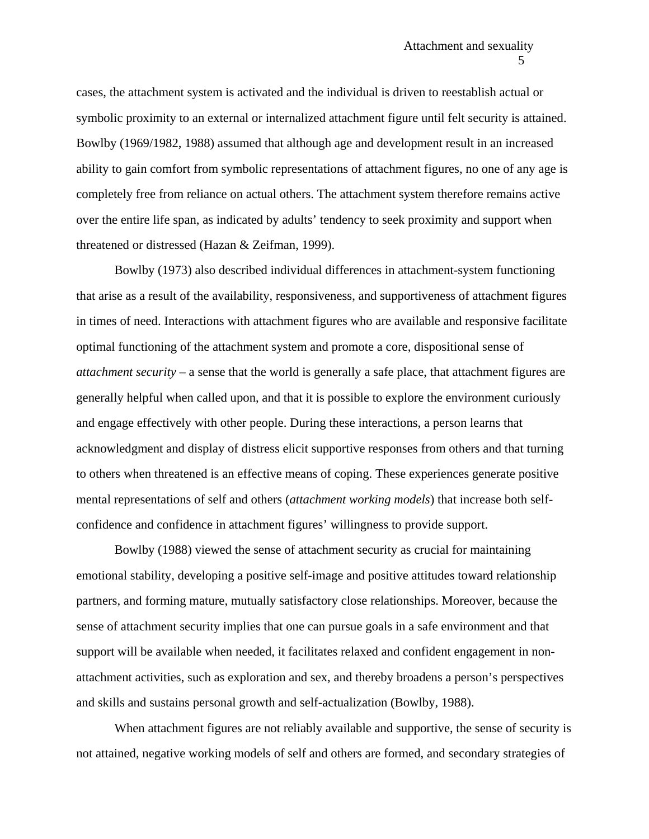cases, the attachment system is activated and the individual is driven to reestablish actual or symbolic proximity to an external or internalized attachment figure until felt security is attained. Bowlby (1969/1982, 1988) assumed that although age and development result in an increased ability to gain comfort from symbolic representations of attachment figures, no one of any age is completely free from reliance on actual others. The attachment system therefore remains active over the entire life span, as indicated by adults' tendency to seek proximity and support when threatened or distressed (Hazan & Zeifman, 1999).

Bowlby (1973) also described individual differences in attachment-system functioning that arise as a result of the availability, responsiveness, and supportiveness of attachment figures in times of need. Interactions with attachment figures who are available and responsive facilitate optimal functioning of the attachment system and promote a core, dispositional sense of *attachment security* – a sense that the world is generally a safe place, that attachment figures are generally helpful when called upon, and that it is possible to explore the environment curiously and engage effectively with other people. During these interactions, a person learns that acknowledgment and display of distress elicit supportive responses from others and that turning to others when threatened is an effective means of coping. These experiences generate positive mental representations of self and others (*attachment working models*) that increase both selfconfidence and confidence in attachment figures' willingness to provide support.

Bowlby (1988) viewed the sense of attachment security as crucial for maintaining emotional stability, developing a positive self-image and positive attitudes toward relationship partners, and forming mature, mutually satisfactory close relationships. Moreover, because the sense of attachment security implies that one can pursue goals in a safe environment and that support will be available when needed, it facilitates relaxed and confident engagement in nonattachment activities, such as exploration and sex, and thereby broadens a person's perspectives and skills and sustains personal growth and self-actualization (Bowlby, 1988).

When attachment figures are not reliably available and supportive, the sense of security is not attained, negative working models of self and others are formed, and secondary strategies of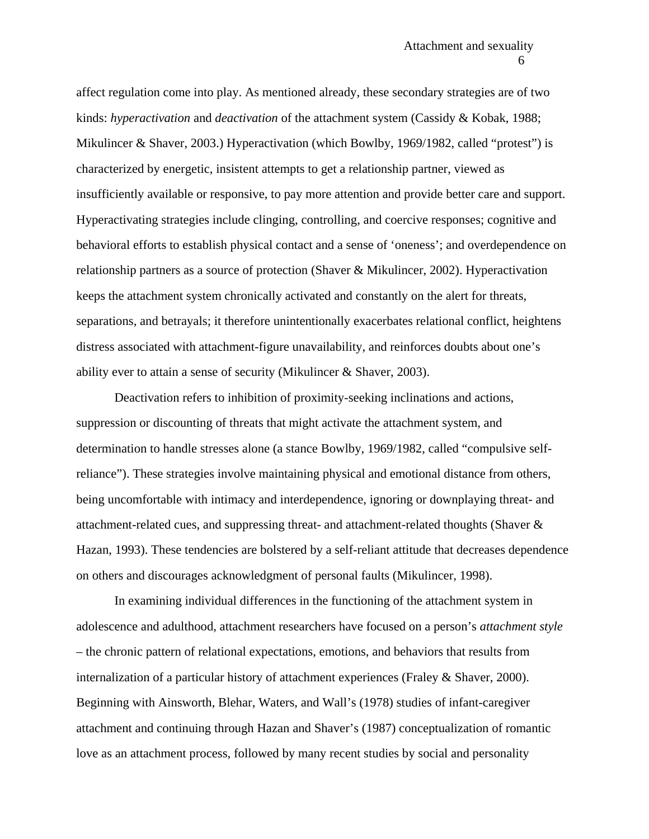affect regulation come into play. As mentioned already, these secondary strategies are of two kinds: *hyperactivation* and *deactivation* of the attachment system (Cassidy & Kobak, 1988; Mikulincer & Shaver, 2003.) Hyperactivation (which Bowlby, 1969/1982, called "protest") is characterized by energetic, insistent attempts to get a relationship partner, viewed as insufficiently available or responsive, to pay more attention and provide better care and support. Hyperactivating strategies include clinging, controlling, and coercive responses; cognitive and behavioral efforts to establish physical contact and a sense of 'oneness'; and overdependence on relationship partners as a source of protection (Shaver & Mikulincer, 2002). Hyperactivation keeps the attachment system chronically activated and constantly on the alert for threats, separations, and betrayals; it therefore unintentionally exacerbates relational conflict, heightens distress associated with attachment-figure unavailability, and reinforces doubts about one's ability ever to attain a sense of security (Mikulincer & Shaver, 2003).

Deactivation refers to inhibition of proximity-seeking inclinations and actions, suppression or discounting of threats that might activate the attachment system, and determination to handle stresses alone (a stance Bowlby, 1969/1982, called "compulsive selfreliance"). These strategies involve maintaining physical and emotional distance from others, being uncomfortable with intimacy and interdependence, ignoring or downplaying threat- and attachment-related cues, and suppressing threat- and attachment-related thoughts (Shaver & Hazan, 1993). These tendencies are bolstered by a self-reliant attitude that decreases dependence on others and discourages acknowledgment of personal faults (Mikulincer, 1998).

In examining individual differences in the functioning of the attachment system in adolescence and adulthood, attachment researchers have focused on a person's *attachment style* – the chronic pattern of relational expectations, emotions, and behaviors that results from internalization of a particular history of attachment experiences (Fraley & Shaver, 2000). Beginning with Ainsworth, Blehar, Waters, and Wall's (1978) studies of infant-caregiver attachment and continuing through Hazan and Shaver's (1987) conceptualization of romantic love as an attachment process, followed by many recent studies by social and personality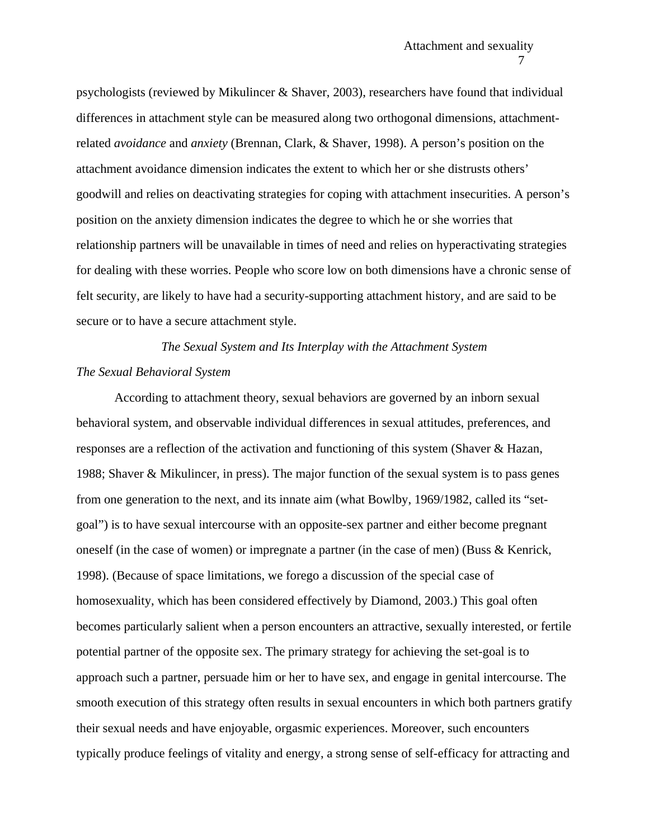psychologists (reviewed by Mikulincer & Shaver, 2003), researchers have found that individual differences in attachment style can be measured along two orthogonal dimensions, attachmentrelated *avoidance* and *anxiety* (Brennan, Clark, & Shaver, 1998). A person's position on the attachment avoidance dimension indicates the extent to which her or she distrusts others' goodwill and relies on deactivating strategies for coping with attachment insecurities. A person's position on the anxiety dimension indicates the degree to which he or she worries that relationship partners will be unavailable in times of need and relies on hyperactivating strategies for dealing with these worries. People who score low on both dimensions have a chronic sense of felt security, are likely to have had a security-supporting attachment history, and are said to be secure or to have a secure attachment style.

# *The Sexual System and Its Interplay with the Attachment System The Sexual Behavioral System*

According to attachment theory, sexual behaviors are governed by an inborn sexual behavioral system, and observable individual differences in sexual attitudes, preferences, and responses are a reflection of the activation and functioning of this system (Shaver & Hazan, 1988; Shaver & Mikulincer, in press). The major function of the sexual system is to pass genes from one generation to the next, and its innate aim (what Bowlby, 1969/1982, called its "setgoal") is to have sexual intercourse with an opposite-sex partner and either become pregnant oneself (in the case of women) or impregnate a partner (in the case of men) (Buss & Kenrick, 1998). (Because of space limitations, we forego a discussion of the special case of homosexuality, which has been considered effectively by Diamond, 2003.) This goal often becomes particularly salient when a person encounters an attractive, sexually interested, or fertile potential partner of the opposite sex. The primary strategy for achieving the set-goal is to approach such a partner, persuade him or her to have sex, and engage in genital intercourse. The smooth execution of this strategy often results in sexual encounters in which both partners gratify their sexual needs and have enjoyable, orgasmic experiences. Moreover, such encounters typically produce feelings of vitality and energy, a strong sense of self-efficacy for attracting and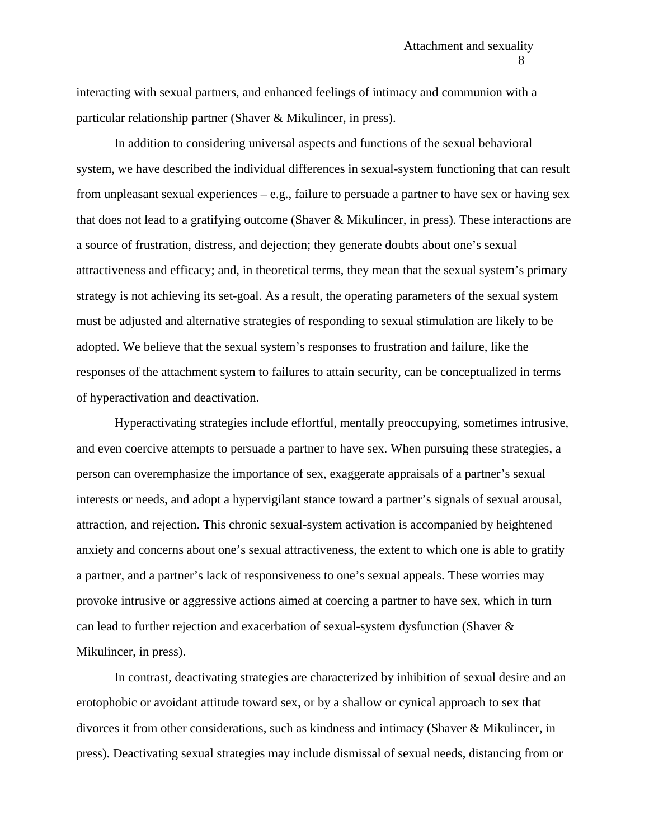interacting with sexual partners, and enhanced feelings of intimacy and communion with a particular relationship partner (Shaver & Mikulincer, in press).

In addition to considering universal aspects and functions of the sexual behavioral system, we have described the individual differences in sexual-system functioning that can result from unpleasant sexual experiences – e.g., failure to persuade a partner to have sex or having sex that does not lead to a gratifying outcome (Shaver & Mikulincer, in press). These interactions are a source of frustration, distress, and dejection; they generate doubts about one's sexual attractiveness and efficacy; and, in theoretical terms, they mean that the sexual system's primary strategy is not achieving its set-goal. As a result, the operating parameters of the sexual system must be adjusted and alternative strategies of responding to sexual stimulation are likely to be adopted. We believe that the sexual system's responses to frustration and failure, like the responses of the attachment system to failures to attain security, can be conceptualized in terms of hyperactivation and deactivation.

Hyperactivating strategies include effortful, mentally preoccupying, sometimes intrusive, and even coercive attempts to persuade a partner to have sex. When pursuing these strategies, a person can overemphasize the importance of sex, exaggerate appraisals of a partner's sexual interests or needs, and adopt a hypervigilant stance toward a partner's signals of sexual arousal, attraction, and rejection. This chronic sexual-system activation is accompanied by heightened anxiety and concerns about one's sexual attractiveness, the extent to which one is able to gratify a partner, and a partner's lack of responsiveness to one's sexual appeals. These worries may provoke intrusive or aggressive actions aimed at coercing a partner to have sex, which in turn can lead to further rejection and exacerbation of sexual-system dysfunction (Shaver & Mikulincer, in press).

In contrast, deactivating strategies are characterized by inhibition of sexual desire and an erotophobic or avoidant attitude toward sex, or by a shallow or cynical approach to sex that divorces it from other considerations, such as kindness and intimacy (Shaver & Mikulincer, in press). Deactivating sexual strategies may include dismissal of sexual needs, distancing from or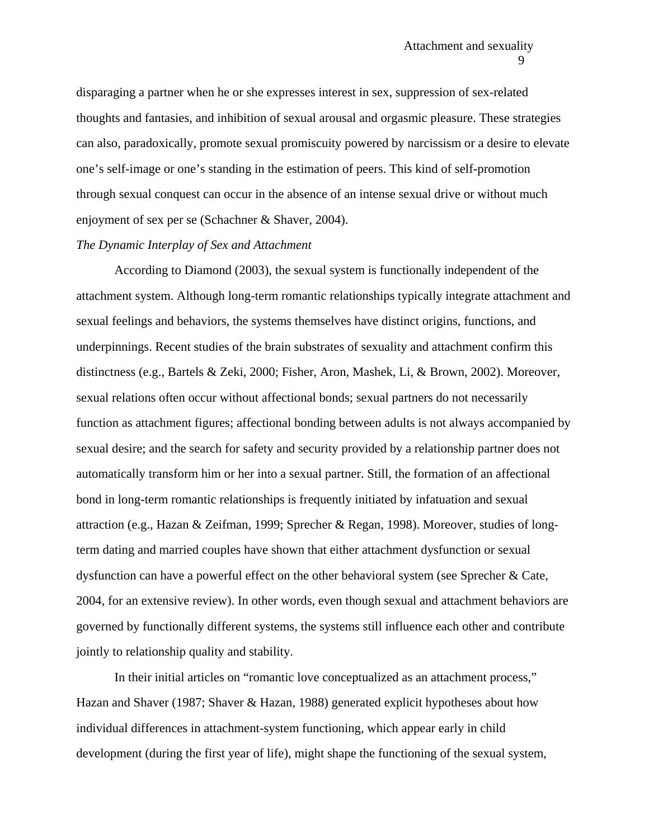disparaging a partner when he or she expresses interest in sex, suppression of sex-related thoughts and fantasies, and inhibition of sexual arousal and orgasmic pleasure. These strategies can also, paradoxically, promote sexual promiscuity powered by narcissism or a desire to elevate one's self-image or one's standing in the estimation of peers. This kind of self-promotion through sexual conquest can occur in the absence of an intense sexual drive or without much enjoyment of sex per se (Schachner & Shaver, 2004).

### *The Dynamic Interplay of Sex and Attachment*

According to Diamond (2003), the sexual system is functionally independent of the attachment system. Although long-term romantic relationships typically integrate attachment and sexual feelings and behaviors, the systems themselves have distinct origins, functions, and underpinnings. Recent studies of the brain substrates of sexuality and attachment confirm this distinctness (e.g., Bartels & Zeki, 2000; Fisher, Aron, Mashek, Li, & Brown, 2002). Moreover, sexual relations often occur without affectional bonds; sexual partners do not necessarily function as attachment figures; affectional bonding between adults is not always accompanied by sexual desire; and the search for safety and security provided by a relationship partner does not automatically transform him or her into a sexual partner. Still, the formation of an affectional bond in long-term romantic relationships is frequently initiated by infatuation and sexual attraction (e.g., Hazan & Zeifman, 1999; Sprecher & Regan, 1998). Moreover, studies of longterm dating and married couples have shown that either attachment dysfunction or sexual dysfunction can have a powerful effect on the other behavioral system (see Sprecher & Cate, 2004, for an extensive review). In other words, even though sexual and attachment behaviors are governed by functionally different systems, the systems still influence each other and contribute jointly to relationship quality and stability.

In their initial articles on "romantic love conceptualized as an attachment process," Hazan and Shaver (1987; Shaver & Hazan, 1988) generated explicit hypotheses about how individual differences in attachment-system functioning, which appear early in child development (during the first year of life), might shape the functioning of the sexual system,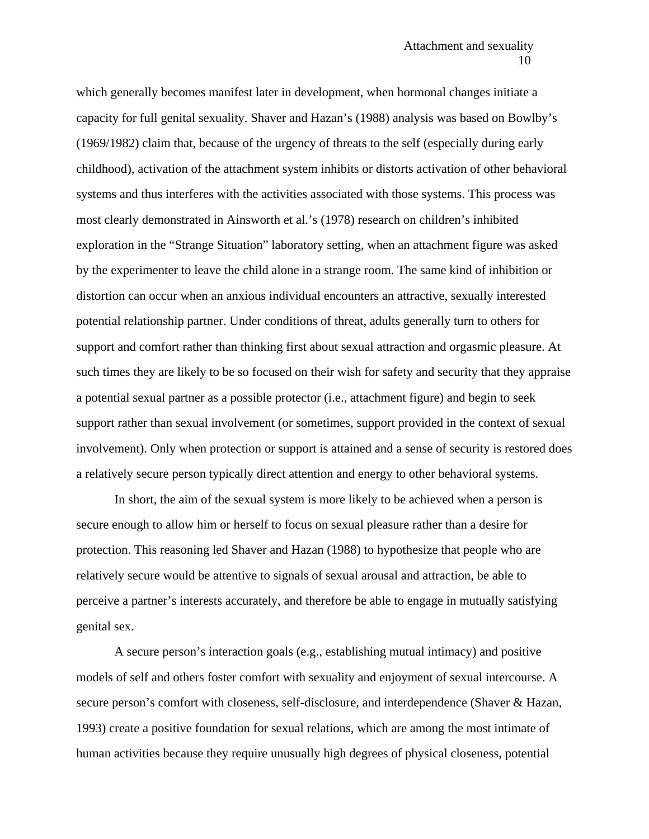which generally becomes manifest later in development, when hormonal changes initiate a capacity for full genital sexuality. Shaver and Hazan's (1988) analysis was based on Bowlby's (1969/1982) claim that, because of the urgency of threats to the self (especially during early childhood), activation of the attachment system inhibits or distorts activation of other behavioral systems and thus interferes with the activities associated with those systems. This process was most clearly demonstrated in Ainsworth et al.'s (1978) research on children's inhibited exploration in the "Strange Situation" laboratory setting, when an attachment figure was asked by the experimenter to leave the child alone in a strange room. The same kind of inhibition or distortion can occur when an anxious individual encounters an attractive, sexually interested potential relationship partner. Under conditions of threat, adults generally turn to others for support and comfort rather than thinking first about sexual attraction and orgasmic pleasure. At such times they are likely to be so focused on their wish for safety and security that they appraise a potential sexual partner as a possible protector (i.e., attachment figure) and begin to seek support rather than sexual involvement (or sometimes, support provided in the context of sexual involvement). Only when protection or support is attained and a sense of security is restored does a relatively secure person typically direct attention and energy to other behavioral systems.

In short, the aim of the sexual system is more likely to be achieved when a person is secure enough to allow him or herself to focus on sexual pleasure rather than a desire for protection. This reasoning led Shaver and Hazan (1988) to hypothesize that people who are relatively secure would be attentive to signals of sexual arousal and attraction, be able to perceive a partner's interests accurately, and therefore be able to engage in mutually satisfying genital sex.

A secure person's interaction goals (e.g., establishing mutual intimacy) and positive models of self and others foster comfort with sexuality and enjoyment of sexual intercourse. A secure person's comfort with closeness, self-disclosure, and interdependence (Shaver & Hazan, 1993) create a positive foundation for sexual relations, which are among the most intimate of human activities because they require unusually high degrees of physical closeness, potential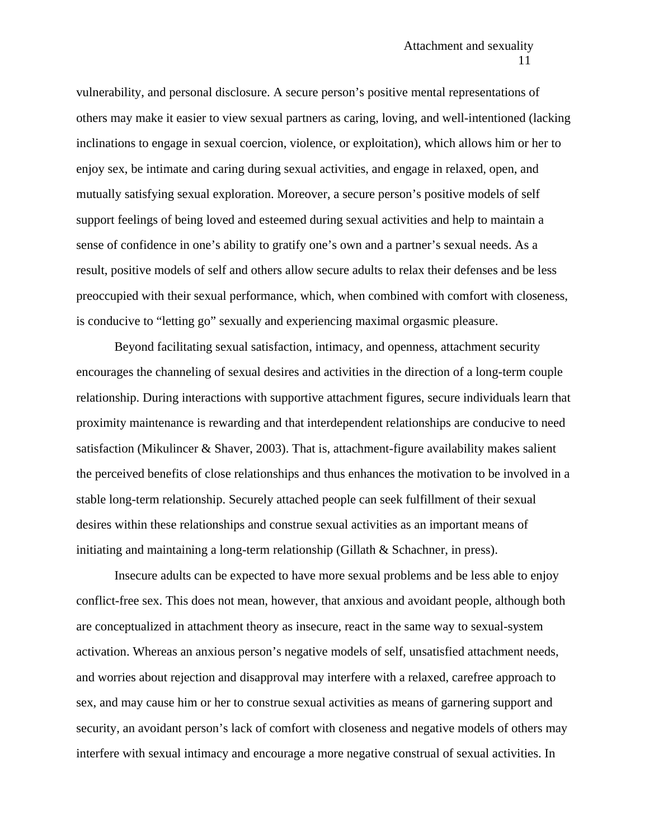vulnerability, and personal disclosure. A secure person's positive mental representations of others may make it easier to view sexual partners as caring, loving, and well-intentioned (lacking inclinations to engage in sexual coercion, violence, or exploitation), which allows him or her to enjoy sex, be intimate and caring during sexual activities, and engage in relaxed, open, and mutually satisfying sexual exploration. Moreover, a secure person's positive models of self support feelings of being loved and esteemed during sexual activities and help to maintain a sense of confidence in one's ability to gratify one's own and a partner's sexual needs. As a result, positive models of self and others allow secure adults to relax their defenses and be less preoccupied with their sexual performance, which, when combined with comfort with closeness, is conducive to "letting go" sexually and experiencing maximal orgasmic pleasure.

Beyond facilitating sexual satisfaction, intimacy, and openness, attachment security encourages the channeling of sexual desires and activities in the direction of a long-term couple relationship. During interactions with supportive attachment figures, secure individuals learn that proximity maintenance is rewarding and that interdependent relationships are conducive to need satisfaction (Mikulincer & Shaver, 2003). That is, attachment-figure availability makes salient the perceived benefits of close relationships and thus enhances the motivation to be involved in a stable long-term relationship. Securely attached people can seek fulfillment of their sexual desires within these relationships and construe sexual activities as an important means of initiating and maintaining a long-term relationship (Gillath & Schachner, in press).

Insecure adults can be expected to have more sexual problems and be less able to enjoy conflict-free sex. This does not mean, however, that anxious and avoidant people, although both are conceptualized in attachment theory as insecure, react in the same way to sexual-system activation. Whereas an anxious person's negative models of self, unsatisfied attachment needs, and worries about rejection and disapproval may interfere with a relaxed, carefree approach to sex, and may cause him or her to construe sexual activities as means of garnering support and security, an avoidant person's lack of comfort with closeness and negative models of others may interfere with sexual intimacy and encourage a more negative construal of sexual activities. In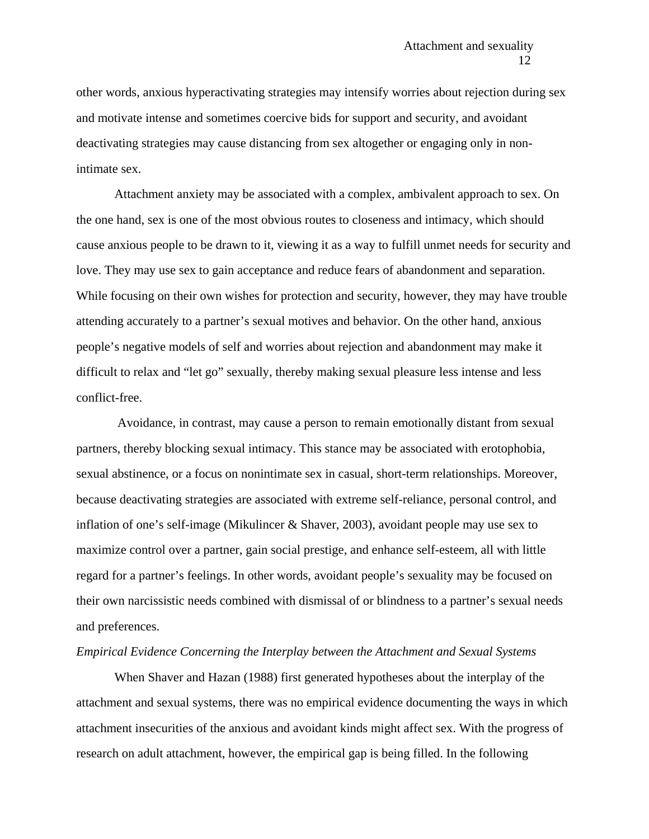other words, anxious hyperactivating strategies may intensify worries about rejection during sex and motivate intense and sometimes coercive bids for support and security, and avoidant deactivating strategies may cause distancing from sex altogether or engaging only in nonintimate sex.

Attachment anxiety may be associated with a complex, ambivalent approach to sex. On the one hand, sex is one of the most obvious routes to closeness and intimacy, which should cause anxious people to be drawn to it, viewing it as a way to fulfill unmet needs for security and love. They may use sex to gain acceptance and reduce fears of abandonment and separation. While focusing on their own wishes for protection and security, however, they may have trouble attending accurately to a partner's sexual motives and behavior. On the other hand, anxious people's negative models of self and worries about rejection and abandonment may make it difficult to relax and "let go" sexually, thereby making sexual pleasure less intense and less conflict-free.

 Avoidance, in contrast, may cause a person to remain emotionally distant from sexual partners, thereby blocking sexual intimacy. This stance may be associated with erotophobia, sexual abstinence, or a focus on nonintimate sex in casual, short-term relationships. Moreover, because deactivating strategies are associated with extreme self-reliance, personal control, and inflation of one's self-image (Mikulincer & Shaver, 2003), avoidant people may use sex to maximize control over a partner, gain social prestige, and enhance self-esteem, all with little regard for a partner's feelings. In other words, avoidant people's sexuality may be focused on their own narcissistic needs combined with dismissal of or blindness to a partner's sexual needs and preferences.

### *Empirical Evidence Concerning the Interplay between the Attachment and Sexual Systems*

When Shaver and Hazan (1988) first generated hypotheses about the interplay of the attachment and sexual systems, there was no empirical evidence documenting the ways in which attachment insecurities of the anxious and avoidant kinds might affect sex. With the progress of research on adult attachment, however, the empirical gap is being filled. In the following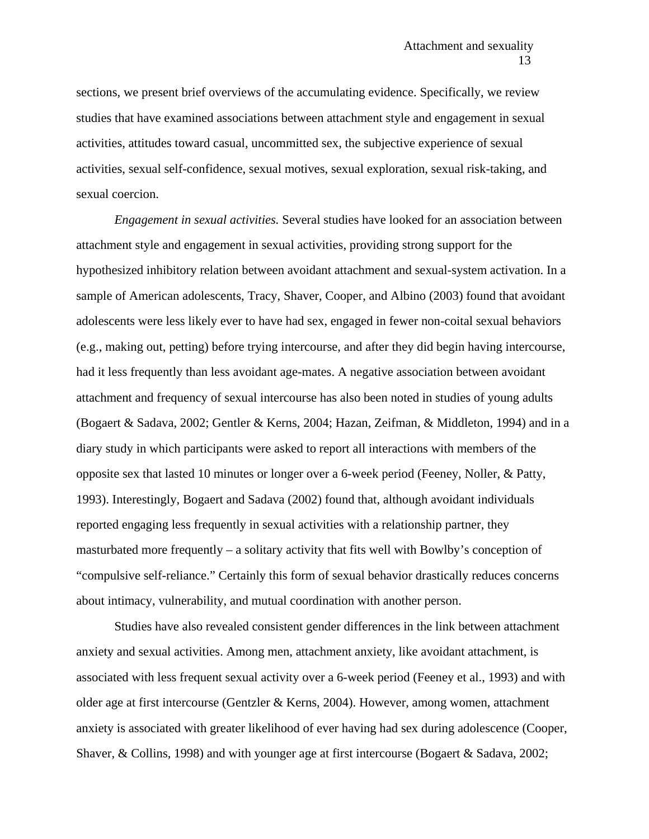sections, we present brief overviews of the accumulating evidence. Specifically, we review studies that have examined associations between attachment style and engagement in sexual activities, attitudes toward casual, uncommitted sex, the subjective experience of sexual activities, sexual self-confidence, sexual motives, sexual exploration, sexual risk-taking, and sexual coercion.

*Engagement in sexual activities.* Several studies have looked for an association between attachment style and engagement in sexual activities, providing strong support for the hypothesized inhibitory relation between avoidant attachment and sexual-system activation. In a sample of American adolescents, Tracy, Shaver, Cooper, and Albino (2003) found that avoidant adolescents were less likely ever to have had sex, engaged in fewer non-coital sexual behaviors (e.g., making out, petting) before trying intercourse, and after they did begin having intercourse, had it less frequently than less avoidant age-mates. A negative association between avoidant attachment and frequency of sexual intercourse has also been noted in studies of young adults (Bogaert & Sadava, 2002; Gentler & Kerns, 2004; Hazan, Zeifman, & Middleton, 1994) and in a diary study in which participants were asked to report all interactions with members of the opposite sex that lasted 10 minutes or longer over a 6-week period (Feeney, Noller, & Patty, 1993). Interestingly, Bogaert and Sadava (2002) found that, although avoidant individuals reported engaging less frequently in sexual activities with a relationship partner, they masturbated more frequently – a solitary activity that fits well with Bowlby's conception of "compulsive self-reliance." Certainly this form of sexual behavior drastically reduces concerns about intimacy, vulnerability, and mutual coordination with another person.

Studies have also revealed consistent gender differences in the link between attachment anxiety and sexual activities. Among men, attachment anxiety, like avoidant attachment, is associated with less frequent sexual activity over a 6-week period (Feeney et al., 1993) and with older age at first intercourse (Gentzler & Kerns, 2004). However, among women, attachment anxiety is associated with greater likelihood of ever having had sex during adolescence (Cooper, Shaver, & Collins, 1998) and with younger age at first intercourse (Bogaert & Sadava, 2002;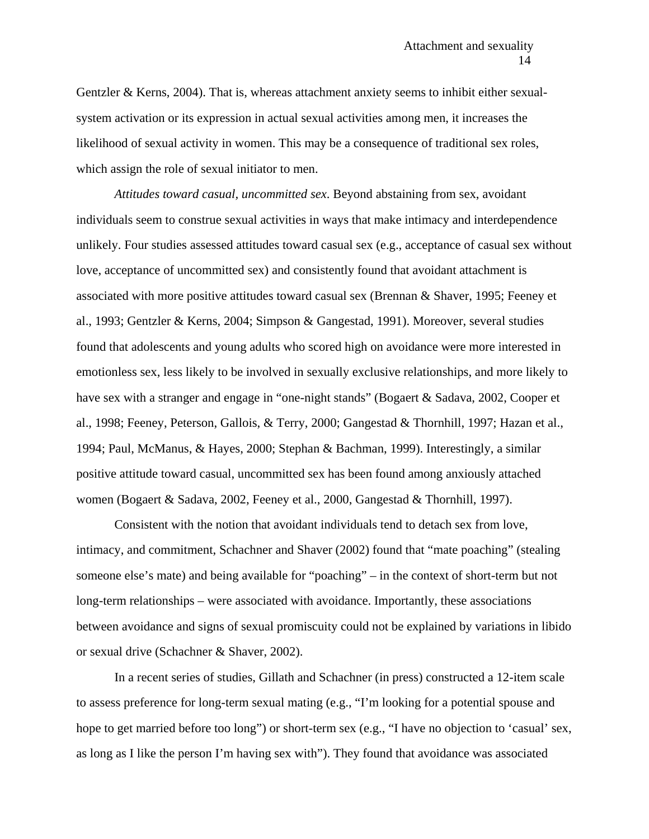Gentzler & Kerns, 2004). That is, whereas attachment anxiety seems to inhibit either sexualsystem activation or its expression in actual sexual activities among men, it increases the likelihood of sexual activity in women. This may be a consequence of traditional sex roles, which assign the role of sexual initiator to men.

*Attitudes toward casual, uncommitted sex*. Beyond abstaining from sex, avoidant individuals seem to construe sexual activities in ways that make intimacy and interdependence unlikely. Four studies assessed attitudes toward casual sex (e.g., acceptance of casual sex without love, acceptance of uncommitted sex) and consistently found that avoidant attachment is associated with more positive attitudes toward casual sex (Brennan & Shaver, 1995; Feeney et al., 1993; Gentzler & Kerns, 2004; Simpson & Gangestad, 1991). Moreover, several studies found that adolescents and young adults who scored high on avoidance were more interested in emotionless sex, less likely to be involved in sexually exclusive relationships, and more likely to have sex with a stranger and engage in "one-night stands" (Bogaert & Sadava, 2002, Cooper et al., 1998; Feeney, Peterson, Gallois, & Terry, 2000; Gangestad & Thornhill, 1997; Hazan et al., 1994; Paul, McManus, & Hayes, 2000; Stephan & Bachman, 1999). Interestingly, a similar positive attitude toward casual, uncommitted sex has been found among anxiously attached women (Bogaert & Sadava, 2002, Feeney et al., 2000, Gangestad & Thornhill, 1997).

Consistent with the notion that avoidant individuals tend to detach sex from love, intimacy, and commitment, Schachner and Shaver (2002) found that "mate poaching" (stealing someone else's mate) and being available for "poaching" – in the context of short-term but not long-term relationships – were associated with avoidance. Importantly, these associations between avoidance and signs of sexual promiscuity could not be explained by variations in libido or sexual drive (Schachner & Shaver, 2002).

In a recent series of studies, Gillath and Schachner (in press) constructed a 12-item scale to assess preference for long-term sexual mating (e.g., "I'm looking for a potential spouse and hope to get married before too long") or short-term sex (e.g., "I have no objection to 'casual' sex, as long as I like the person I'm having sex with"). They found that avoidance was associated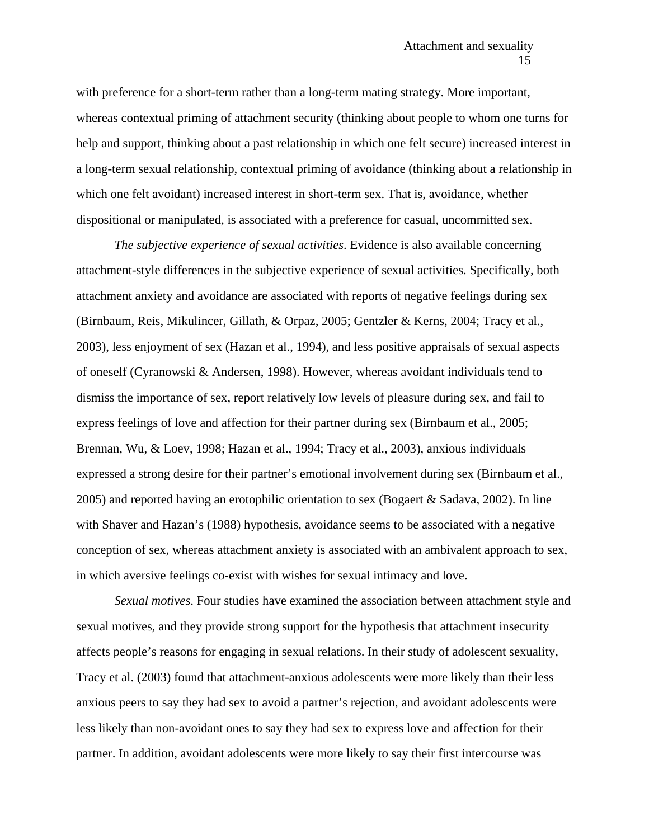with preference for a short-term rather than a long-term mating strategy. More important, whereas contextual priming of attachment security (thinking about people to whom one turns for help and support, thinking about a past relationship in which one felt secure) increased interest in a long-term sexual relationship, contextual priming of avoidance (thinking about a relationship in which one felt avoidant) increased interest in short-term sex. That is, avoidance, whether dispositional or manipulated, is associated with a preference for casual, uncommitted sex.

*The subjective experience of sexual activities*. Evidence is also available concerning attachment-style differences in the subjective experience of sexual activities. Specifically, both attachment anxiety and avoidance are associated with reports of negative feelings during sex (Birnbaum, Reis, Mikulincer, Gillath, & Orpaz, 2005; Gentzler & Kerns, 2004; Tracy et al., 2003), less enjoyment of sex (Hazan et al., 1994), and less positive appraisals of sexual aspects of oneself (Cyranowski & Andersen, 1998). However, whereas avoidant individuals tend to dismiss the importance of sex, report relatively low levels of pleasure during sex, and fail to express feelings of love and affection for their partner during sex (Birnbaum et al., 2005; Brennan, Wu, & Loev, 1998; Hazan et al., 1994; Tracy et al., 2003), anxious individuals expressed a strong desire for their partner's emotional involvement during sex (Birnbaum et al., 2005) and reported having an erotophilic orientation to sex (Bogaert & Sadava, 2002). In line with Shaver and Hazan's (1988) hypothesis, avoidance seems to be associated with a negative conception of sex, whereas attachment anxiety is associated with an ambivalent approach to sex, in which aversive feelings co-exist with wishes for sexual intimacy and love.

*Sexual motives*. Four studies have examined the association between attachment style and sexual motives, and they provide strong support for the hypothesis that attachment insecurity affects people's reasons for engaging in sexual relations. In their study of adolescent sexuality, Tracy et al. (2003) found that attachment-anxious adolescents were more likely than their less anxious peers to say they had sex to avoid a partner's rejection, and avoidant adolescents were less likely than non-avoidant ones to say they had sex to express love and affection for their partner. In addition, avoidant adolescents were more likely to say their first intercourse was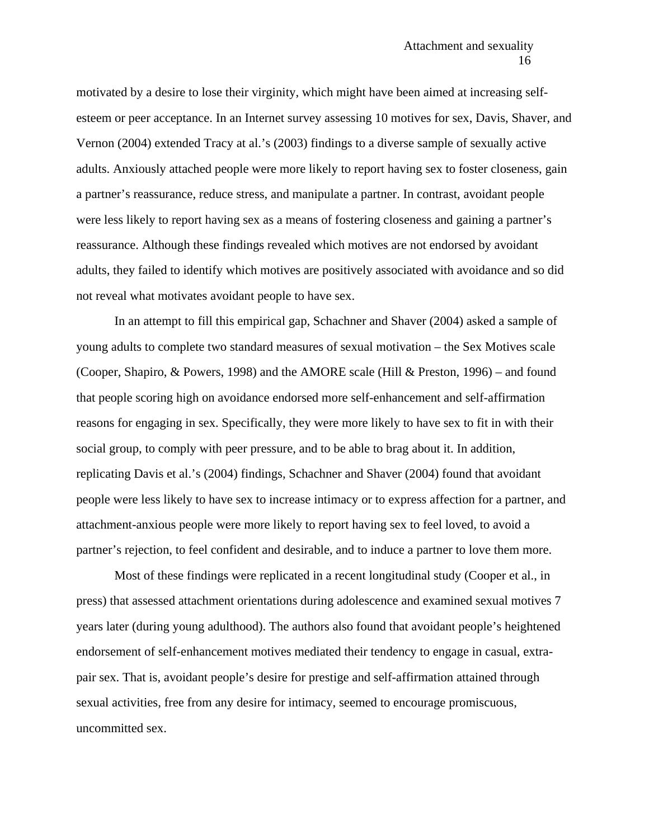motivated by a desire to lose their virginity, which might have been aimed at increasing selfesteem or peer acceptance. In an Internet survey assessing 10 motives for sex, Davis, Shaver, and Vernon (2004) extended Tracy at al.'s (2003) findings to a diverse sample of sexually active adults. Anxiously attached people were more likely to report having sex to foster closeness, gain a partner's reassurance, reduce stress, and manipulate a partner. In contrast, avoidant people were less likely to report having sex as a means of fostering closeness and gaining a partner's reassurance. Although these findings revealed which motives are not endorsed by avoidant adults, they failed to identify which motives are positively associated with avoidance and so did not reveal what motivates avoidant people to have sex.

In an attempt to fill this empirical gap, Schachner and Shaver (2004) asked a sample of young adults to complete two standard measures of sexual motivation – the Sex Motives scale (Cooper, Shapiro, & Powers, 1998) and the AMORE scale (Hill & Preston, 1996) – and found that people scoring high on avoidance endorsed more self-enhancement and self-affirmation reasons for engaging in sex. Specifically, they were more likely to have sex to fit in with their social group, to comply with peer pressure, and to be able to brag about it. In addition, replicating Davis et al.'s (2004) findings, Schachner and Shaver (2004) found that avoidant people were less likely to have sex to increase intimacy or to express affection for a partner, and attachment-anxious people were more likely to report having sex to feel loved, to avoid a partner's rejection, to feel confident and desirable, and to induce a partner to love them more.

Most of these findings were replicated in a recent longitudinal study (Cooper et al., in press) that assessed attachment orientations during adolescence and examined sexual motives 7 years later (during young adulthood). The authors also found that avoidant people's heightened endorsement of self-enhancement motives mediated their tendency to engage in casual, extrapair sex. That is, avoidant people's desire for prestige and self-affirmation attained through sexual activities, free from any desire for intimacy, seemed to encourage promiscuous, uncommitted sex.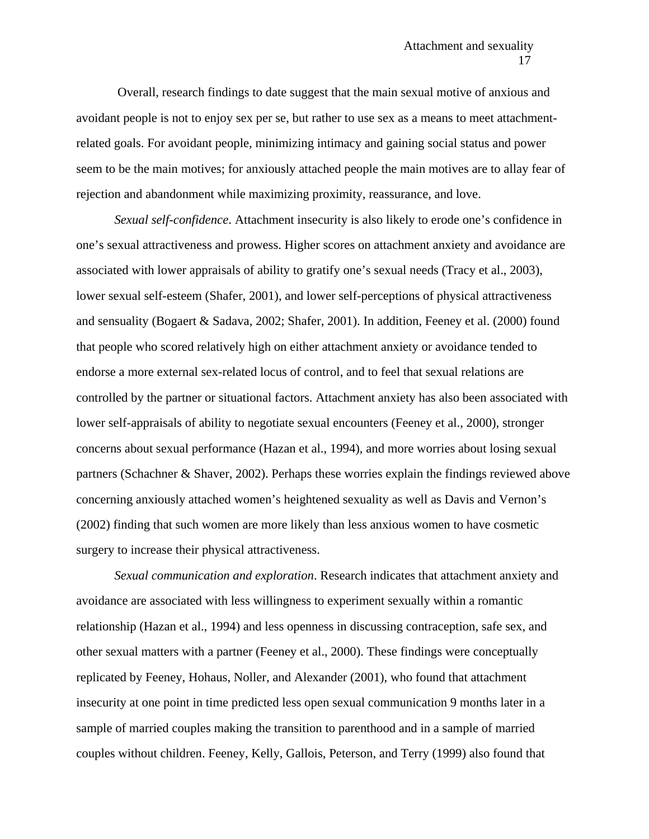Overall, research findings to date suggest that the main sexual motive of anxious and avoidant people is not to enjoy sex per se, but rather to use sex as a means to meet attachmentrelated goals. For avoidant people, minimizing intimacy and gaining social status and power seem to be the main motives; for anxiously attached people the main motives are to allay fear of rejection and abandonment while maximizing proximity, reassurance, and love.

*Sexual self-confidence*. Attachment insecurity is also likely to erode one's confidence in one's sexual attractiveness and prowess. Higher scores on attachment anxiety and avoidance are associated with lower appraisals of ability to gratify one's sexual needs (Tracy et al., 2003), lower sexual self-esteem (Shafer, 2001), and lower self-perceptions of physical attractiveness and sensuality (Bogaert & Sadava, 2002; Shafer, 2001). In addition, Feeney et al. (2000) found that people who scored relatively high on either attachment anxiety or avoidance tended to endorse a more external sex-related locus of control, and to feel that sexual relations are controlled by the partner or situational factors. Attachment anxiety has also been associated with lower self-appraisals of ability to negotiate sexual encounters (Feeney et al., 2000), stronger concerns about sexual performance (Hazan et al., 1994), and more worries about losing sexual partners (Schachner & Shaver, 2002). Perhaps these worries explain the findings reviewed above concerning anxiously attached women's heightened sexuality as well as Davis and Vernon's (2002) finding that such women are more likely than less anxious women to have cosmetic surgery to increase their physical attractiveness.

*Sexual communication and exploration*. Research indicates that attachment anxiety and avoidance are associated with less willingness to experiment sexually within a romantic relationship (Hazan et al., 1994) and less openness in discussing contraception, safe sex, and other sexual matters with a partner (Feeney et al., 2000). These findings were conceptually replicated by Feeney, Hohaus, Noller, and Alexander (2001), who found that attachment insecurity at one point in time predicted less open sexual communication 9 months later in a sample of married couples making the transition to parenthood and in a sample of married couples without children. Feeney, Kelly, Gallois, Peterson, and Terry (1999) also found that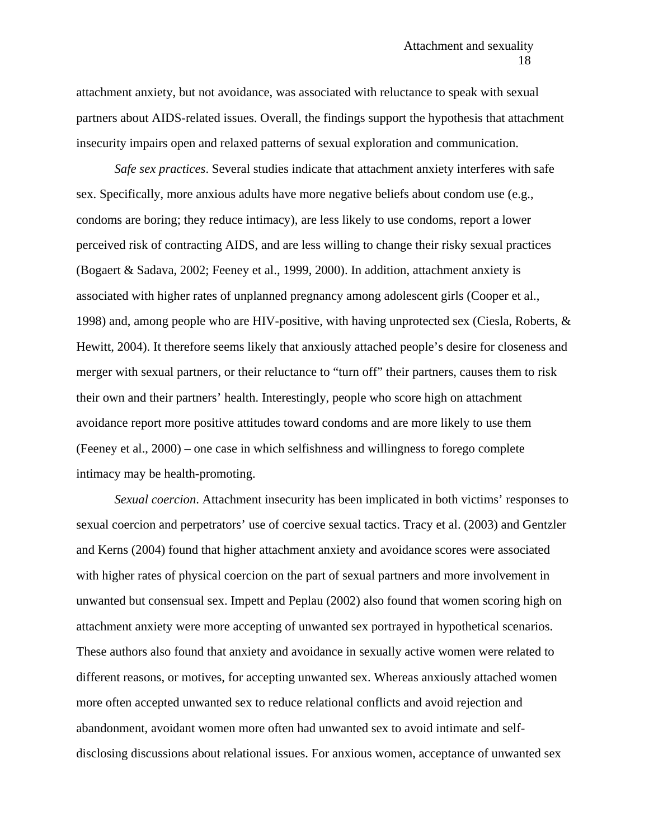attachment anxiety, but not avoidance, was associated with reluctance to speak with sexual partners about AIDS-related issues. Overall, the findings support the hypothesis that attachment insecurity impairs open and relaxed patterns of sexual exploration and communication.

*Safe sex practices*. Several studies indicate that attachment anxiety interferes with safe sex. Specifically, more anxious adults have more negative beliefs about condom use (e.g., condoms are boring; they reduce intimacy), are less likely to use condoms, report a lower perceived risk of contracting AIDS, and are less willing to change their risky sexual practices (Bogaert & Sadava, 2002; Feeney et al., 1999, 2000). In addition, attachment anxiety is associated with higher rates of unplanned pregnancy among adolescent girls (Cooper et al., 1998) and, among people who are HIV-positive, with having unprotected sex (Ciesla, Roberts, & Hewitt, 2004). It therefore seems likely that anxiously attached people's desire for closeness and merger with sexual partners, or their reluctance to "turn off" their partners, causes them to risk their own and their partners' health. Interestingly, people who score high on attachment avoidance report more positive attitudes toward condoms and are more likely to use them (Feeney et al., 2000) – one case in which selfishness and willingness to forego complete intimacy may be health-promoting.

*Sexual coercion*. Attachment insecurity has been implicated in both victims' responses to sexual coercion and perpetrators' use of coercive sexual tactics. Tracy et al. (2003) and Gentzler and Kerns (2004) found that higher attachment anxiety and avoidance scores were associated with higher rates of physical coercion on the part of sexual partners and more involvement in unwanted but consensual sex. Impett and Peplau (2002) also found that women scoring high on attachment anxiety were more accepting of unwanted sex portrayed in hypothetical scenarios. These authors also found that anxiety and avoidance in sexually active women were related to different reasons, or motives, for accepting unwanted sex. Whereas anxiously attached women more often accepted unwanted sex to reduce relational conflicts and avoid rejection and abandonment, avoidant women more often had unwanted sex to avoid intimate and selfdisclosing discussions about relational issues. For anxious women, acceptance of unwanted sex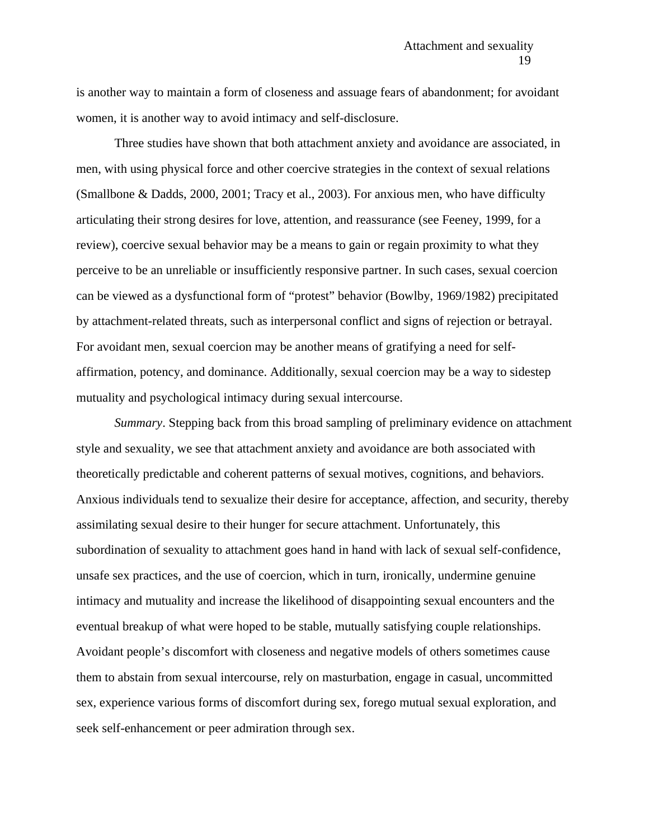is another way to maintain a form of closeness and assuage fears of abandonment; for avoidant women, it is another way to avoid intimacy and self-disclosure.

Three studies have shown that both attachment anxiety and avoidance are associated, in men, with using physical force and other coercive strategies in the context of sexual relations (Smallbone & Dadds, 2000, 2001; Tracy et al., 2003). For anxious men, who have difficulty articulating their strong desires for love, attention, and reassurance (see Feeney, 1999, for a review), coercive sexual behavior may be a means to gain or regain proximity to what they perceive to be an unreliable or insufficiently responsive partner. In such cases, sexual coercion can be viewed as a dysfunctional form of "protest" behavior (Bowlby, 1969/1982) precipitated by attachment-related threats, such as interpersonal conflict and signs of rejection or betrayal. For avoidant men, sexual coercion may be another means of gratifying a need for selfaffirmation, potency, and dominance. Additionally, sexual coercion may be a way to sidestep mutuality and psychological intimacy during sexual intercourse.

*Summary*. Stepping back from this broad sampling of preliminary evidence on attachment style and sexuality, we see that attachment anxiety and avoidance are both associated with theoretically predictable and coherent patterns of sexual motives, cognitions, and behaviors. Anxious individuals tend to sexualize their desire for acceptance, affection, and security, thereby assimilating sexual desire to their hunger for secure attachment. Unfortunately, this subordination of sexuality to attachment goes hand in hand with lack of sexual self-confidence, unsafe sex practices, and the use of coercion, which in turn, ironically, undermine genuine intimacy and mutuality and increase the likelihood of disappointing sexual encounters and the eventual breakup of what were hoped to be stable, mutually satisfying couple relationships. Avoidant people's discomfort with closeness and negative models of others sometimes cause them to abstain from sexual intercourse, rely on masturbation, engage in casual, uncommitted sex, experience various forms of discomfort during sex, forego mutual sexual exploration, and seek self-enhancement or peer admiration through sex.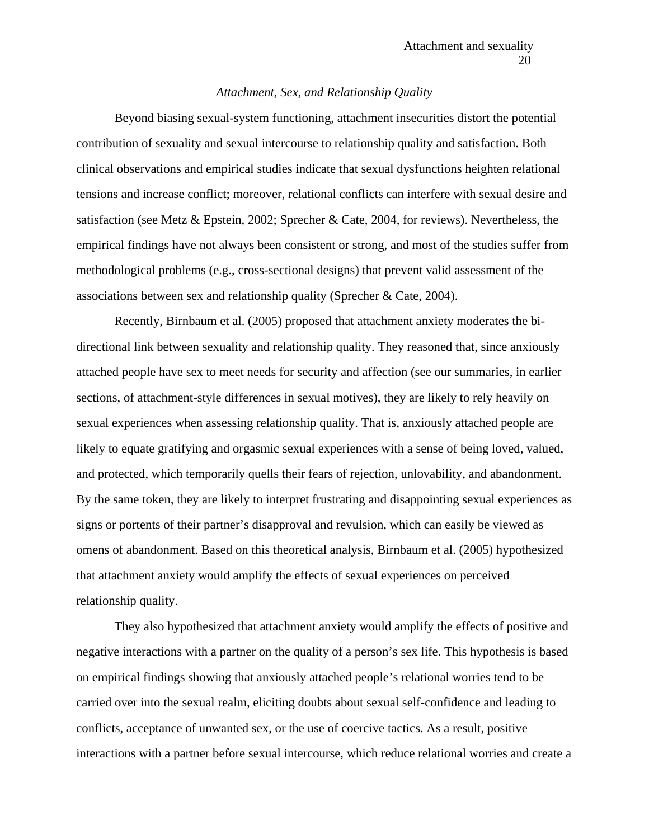### *Attachment, Sex, and Relationship Quality*

Beyond biasing sexual-system functioning, attachment insecurities distort the potential contribution of sexuality and sexual intercourse to relationship quality and satisfaction. Both clinical observations and empirical studies indicate that sexual dysfunctions heighten relational tensions and increase conflict; moreover, relational conflicts can interfere with sexual desire and satisfaction (see Metz & Epstein, 2002; Sprecher & Cate, 2004, for reviews). Nevertheless, the empirical findings have not always been consistent or strong, and most of the studies suffer from methodological problems (e.g., cross-sectional designs) that prevent valid assessment of the associations between sex and relationship quality (Sprecher & Cate, 2004).

Recently, Birnbaum et al. (2005) proposed that attachment anxiety moderates the bidirectional link between sexuality and relationship quality. They reasoned that, since anxiously attached people have sex to meet needs for security and affection (see our summaries, in earlier sections, of attachment-style differences in sexual motives), they are likely to rely heavily on sexual experiences when assessing relationship quality. That is, anxiously attached people are likely to equate gratifying and orgasmic sexual experiences with a sense of being loved, valued, and protected, which temporarily quells their fears of rejection, unlovability, and abandonment. By the same token, they are likely to interpret frustrating and disappointing sexual experiences as signs or portents of their partner's disapproval and revulsion, which can easily be viewed as omens of abandonment. Based on this theoretical analysis, Birnbaum et al. (2005) hypothesized that attachment anxiety would amplify the effects of sexual experiences on perceived relationship quality.

They also hypothesized that attachment anxiety would amplify the effects of positive and negative interactions with a partner on the quality of a person's sex life. This hypothesis is based on empirical findings showing that anxiously attached people's relational worries tend to be carried over into the sexual realm, eliciting doubts about sexual self-confidence and leading to conflicts, acceptance of unwanted sex, or the use of coercive tactics. As a result, positive interactions with a partner before sexual intercourse, which reduce relational worries and create a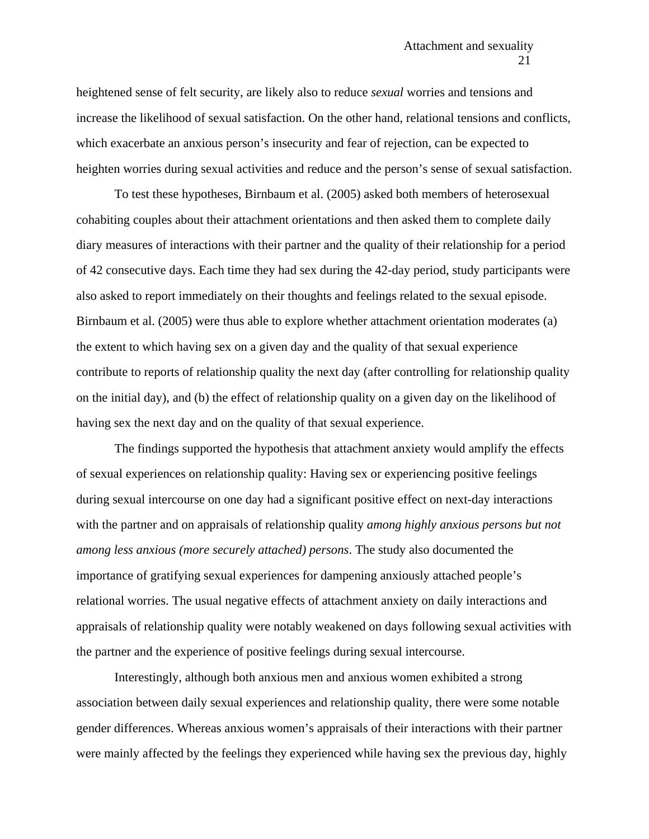heightened sense of felt security, are likely also to reduce *sexual* worries and tensions and increase the likelihood of sexual satisfaction. On the other hand, relational tensions and conflicts, which exacerbate an anxious person's insecurity and fear of rejection, can be expected to heighten worries during sexual activities and reduce and the person's sense of sexual satisfaction.

To test these hypotheses, Birnbaum et al. (2005) asked both members of heterosexual cohabiting couples about their attachment orientations and then asked them to complete daily diary measures of interactions with their partner and the quality of their relationship for a period of 42 consecutive days. Each time they had sex during the 42-day period, study participants were also asked to report immediately on their thoughts and feelings related to the sexual episode. Birnbaum et al. (2005) were thus able to explore whether attachment orientation moderates (a) the extent to which having sex on a given day and the quality of that sexual experience contribute to reports of relationship quality the next day (after controlling for relationship quality on the initial day), and (b) the effect of relationship quality on a given day on the likelihood of having sex the next day and on the quality of that sexual experience.

The findings supported the hypothesis that attachment anxiety would amplify the effects of sexual experiences on relationship quality: Having sex or experiencing positive feelings during sexual intercourse on one day had a significant positive effect on next-day interactions with the partner and on appraisals of relationship quality *among highly anxious persons but not among less anxious (more securely attached) persons*. The study also documented the importance of gratifying sexual experiences for dampening anxiously attached people's relational worries. The usual negative effects of attachment anxiety on daily interactions and appraisals of relationship quality were notably weakened on days following sexual activities with the partner and the experience of positive feelings during sexual intercourse.

Interestingly, although both anxious men and anxious women exhibited a strong association between daily sexual experiences and relationship quality, there were some notable gender differences. Whereas anxious women's appraisals of their interactions with their partner were mainly affected by the feelings they experienced while having sex the previous day, highly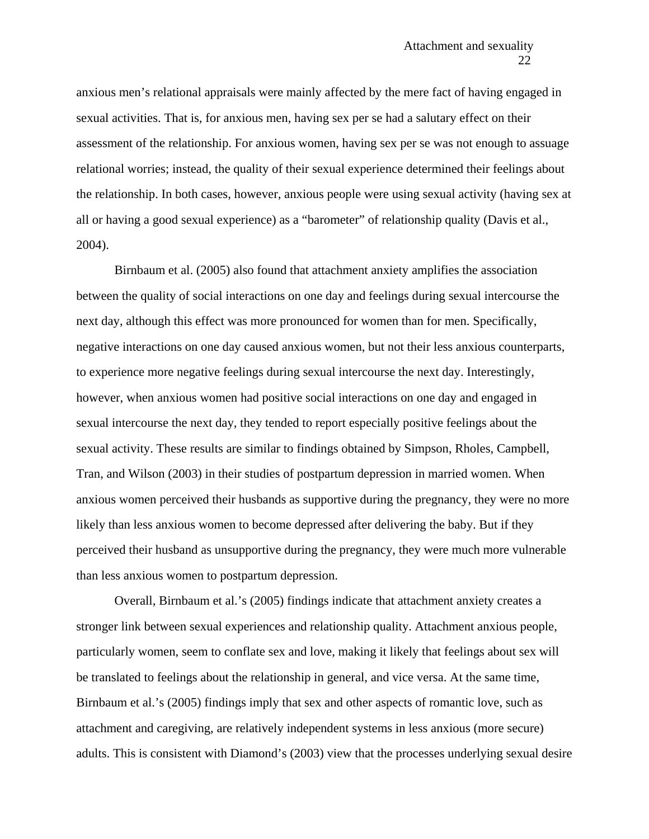anxious men's relational appraisals were mainly affected by the mere fact of having engaged in sexual activities. That is, for anxious men, having sex per se had a salutary effect on their assessment of the relationship. For anxious women, having sex per se was not enough to assuage relational worries; instead, the quality of their sexual experience determined their feelings about the relationship. In both cases, however, anxious people were using sexual activity (having sex at all or having a good sexual experience) as a "barometer" of relationship quality (Davis et al., 2004).

Birnbaum et al. (2005) also found that attachment anxiety amplifies the association between the quality of social interactions on one day and feelings during sexual intercourse the next day, although this effect was more pronounced for women than for men. Specifically, negative interactions on one day caused anxious women, but not their less anxious counterparts, to experience more negative feelings during sexual intercourse the next day. Interestingly, however, when anxious women had positive social interactions on one day and engaged in sexual intercourse the next day, they tended to report especially positive feelings about the sexual activity. These results are similar to findings obtained by Simpson, Rholes, Campbell, Tran, and Wilson (2003) in their studies of postpartum depression in married women. When anxious women perceived their husbands as supportive during the pregnancy, they were no more likely than less anxious women to become depressed after delivering the baby. But if they perceived their husband as unsupportive during the pregnancy, they were much more vulnerable than less anxious women to postpartum depression.

Overall, Birnbaum et al.'s (2005) findings indicate that attachment anxiety creates a stronger link between sexual experiences and relationship quality. Attachment anxious people, particularly women, seem to conflate sex and love, making it likely that feelings about sex will be translated to feelings about the relationship in general, and vice versa. At the same time, Birnbaum et al.'s (2005) findings imply that sex and other aspects of romantic love, such as attachment and caregiving, are relatively independent systems in less anxious (more secure) adults. This is consistent with Diamond's (2003) view that the processes underlying sexual desire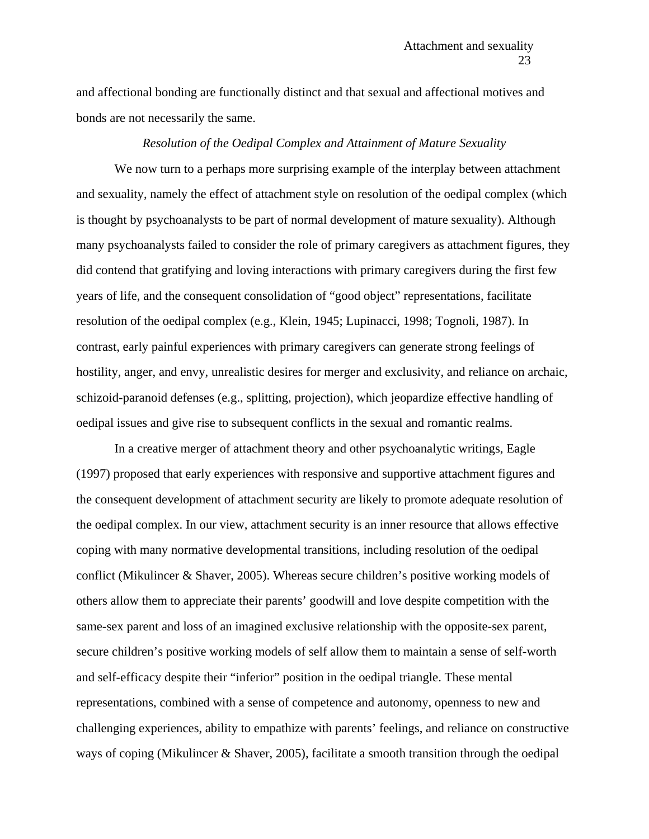and affectional bonding are functionally distinct and that sexual and affectional motives and bonds are not necessarily the same.

#### *Resolution of the Oedipal Complex and Attainment of Mature Sexuality*

We now turn to a perhaps more surprising example of the interplay between attachment and sexuality, namely the effect of attachment style on resolution of the oedipal complex (which is thought by psychoanalysts to be part of normal development of mature sexuality). Although many psychoanalysts failed to consider the role of primary caregivers as attachment figures, they did contend that gratifying and loving interactions with primary caregivers during the first few years of life, and the consequent consolidation of "good object" representations, facilitate resolution of the oedipal complex (e.g., Klein, 1945; Lupinacci, 1998; Tognoli, 1987). In contrast, early painful experiences with primary caregivers can generate strong feelings of hostility, anger, and envy, unrealistic desires for merger and exclusivity, and reliance on archaic, schizoid-paranoid defenses (e.g., splitting, projection), which jeopardize effective handling of oedipal issues and give rise to subsequent conflicts in the sexual and romantic realms.

In a creative merger of attachment theory and other psychoanalytic writings, Eagle (1997) proposed that early experiences with responsive and supportive attachment figures and the consequent development of attachment security are likely to promote adequate resolution of the oedipal complex. In our view, attachment security is an inner resource that allows effective coping with many normative developmental transitions, including resolution of the oedipal conflict (Mikulincer & Shaver, 2005). Whereas secure children's positive working models of others allow them to appreciate their parents' goodwill and love despite competition with the same-sex parent and loss of an imagined exclusive relationship with the opposite-sex parent, secure children's positive working models of self allow them to maintain a sense of self-worth and self-efficacy despite their "inferior" position in the oedipal triangle. These mental representations, combined with a sense of competence and autonomy, openness to new and challenging experiences, ability to empathize with parents' feelings, and reliance on constructive ways of coping (Mikulincer & Shaver, 2005), facilitate a smooth transition through the oedipal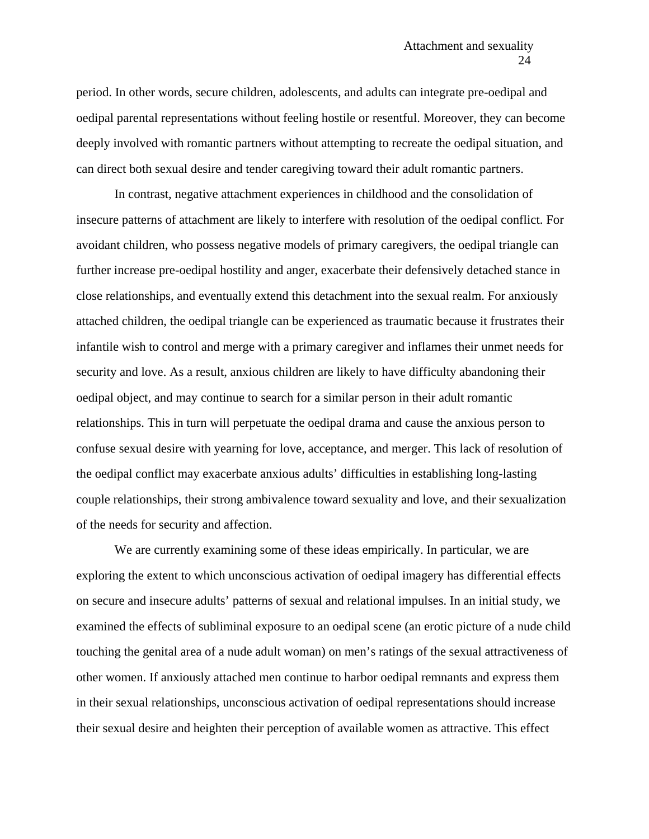period. In other words, secure children, adolescents, and adults can integrate pre-oedipal and oedipal parental representations without feeling hostile or resentful. Moreover, they can become deeply involved with romantic partners without attempting to recreate the oedipal situation, and can direct both sexual desire and tender caregiving toward their adult romantic partners.

In contrast, negative attachment experiences in childhood and the consolidation of insecure patterns of attachment are likely to interfere with resolution of the oedipal conflict. For avoidant children, who possess negative models of primary caregivers, the oedipal triangle can further increase pre-oedipal hostility and anger, exacerbate their defensively detached stance in close relationships, and eventually extend this detachment into the sexual realm. For anxiously attached children, the oedipal triangle can be experienced as traumatic because it frustrates their infantile wish to control and merge with a primary caregiver and inflames their unmet needs for security and love. As a result, anxious children are likely to have difficulty abandoning their oedipal object, and may continue to search for a similar person in their adult romantic relationships. This in turn will perpetuate the oedipal drama and cause the anxious person to confuse sexual desire with yearning for love, acceptance, and merger. This lack of resolution of the oedipal conflict may exacerbate anxious adults' difficulties in establishing long-lasting couple relationships, their strong ambivalence toward sexuality and love, and their sexualization of the needs for security and affection.

We are currently examining some of these ideas empirically. In particular, we are exploring the extent to which unconscious activation of oedipal imagery has differential effects on secure and insecure adults' patterns of sexual and relational impulses. In an initial study, we examined the effects of subliminal exposure to an oedipal scene (an erotic picture of a nude child touching the genital area of a nude adult woman) on men's ratings of the sexual attractiveness of other women. If anxiously attached men continue to harbor oedipal remnants and express them in their sexual relationships, unconscious activation of oedipal representations should increase their sexual desire and heighten their perception of available women as attractive. This effect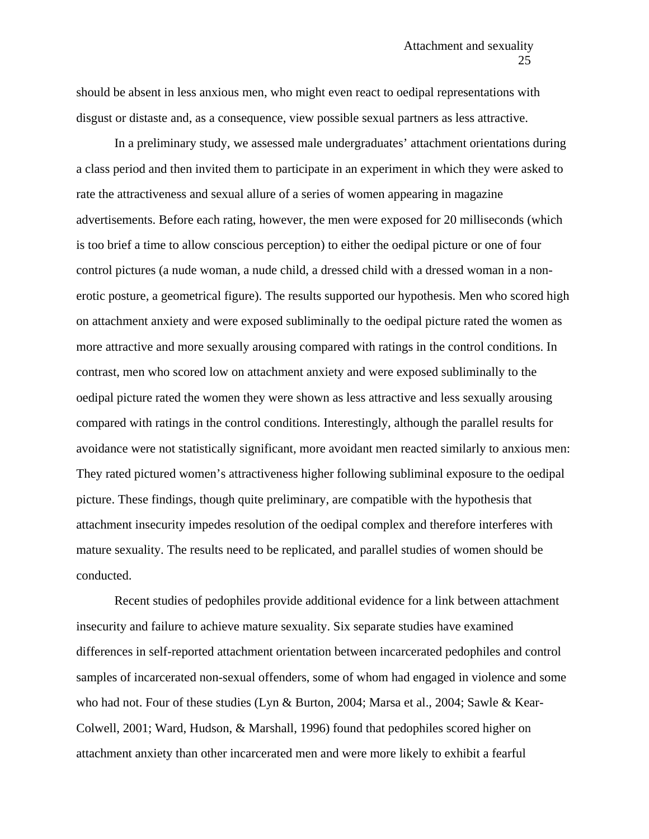should be absent in less anxious men, who might even react to oedipal representations with disgust or distaste and, as a consequence, view possible sexual partners as less attractive.

In a preliminary study, we assessed male undergraduates' attachment orientations during a class period and then invited them to participate in an experiment in which they were asked to rate the attractiveness and sexual allure of a series of women appearing in magazine advertisements. Before each rating, however, the men were exposed for 20 milliseconds (which is too brief a time to allow conscious perception) to either the oedipal picture or one of four control pictures (a nude woman, a nude child, a dressed child with a dressed woman in a nonerotic posture, a geometrical figure). The results supported our hypothesis. Men who scored high on attachment anxiety and were exposed subliminally to the oedipal picture rated the women as more attractive and more sexually arousing compared with ratings in the control conditions. In contrast, men who scored low on attachment anxiety and were exposed subliminally to the oedipal picture rated the women they were shown as less attractive and less sexually arousing compared with ratings in the control conditions. Interestingly, although the parallel results for avoidance were not statistically significant, more avoidant men reacted similarly to anxious men: They rated pictured women's attractiveness higher following subliminal exposure to the oedipal picture. These findings, though quite preliminary, are compatible with the hypothesis that attachment insecurity impedes resolution of the oedipal complex and therefore interferes with mature sexuality. The results need to be replicated, and parallel studies of women should be conducted.

Recent studies of pedophiles provide additional evidence for a link between attachment insecurity and failure to achieve mature sexuality. Six separate studies have examined differences in self-reported attachment orientation between incarcerated pedophiles and control samples of incarcerated non-sexual offenders, some of whom had engaged in violence and some who had not. Four of these studies (Lyn & Burton, 2004; Marsa et al., 2004; Sawle & Kear-Colwell, 2001; Ward, Hudson, & Marshall, 1996) found that pedophiles scored higher on attachment anxiety than other incarcerated men and were more likely to exhibit a fearful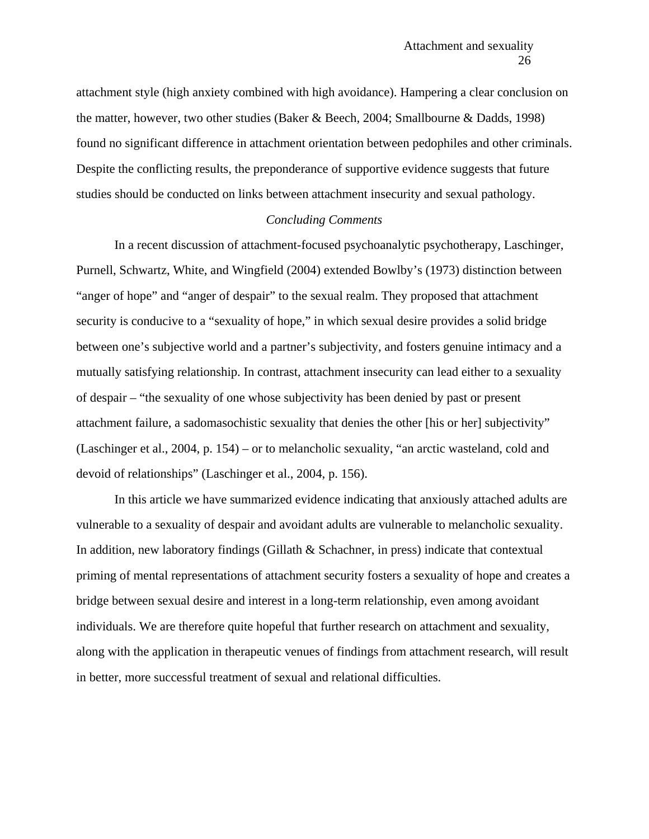attachment style (high anxiety combined with high avoidance). Hampering a clear conclusion on the matter, however, two other studies (Baker & Beech, 2004; Smallbourne & Dadds, 1998) found no significant difference in attachment orientation between pedophiles and other criminals. Despite the conflicting results, the preponderance of supportive evidence suggests that future studies should be conducted on links between attachment insecurity and sexual pathology.

### *Concluding Comments*

In a recent discussion of attachment-focused psychoanalytic psychotherapy, Laschinger, Purnell, Schwartz, White, and Wingfield (2004) extended Bowlby's (1973) distinction between "anger of hope" and "anger of despair" to the sexual realm. They proposed that attachment security is conducive to a "sexuality of hope," in which sexual desire provides a solid bridge between one's subjective world and a partner's subjectivity, and fosters genuine intimacy and a mutually satisfying relationship. In contrast, attachment insecurity can lead either to a sexuality of despair – "the sexuality of one whose subjectivity has been denied by past or present attachment failure, a sadomasochistic sexuality that denies the other [his or her] subjectivity" (Laschinger et al., 2004, p. 154) – or to melancholic sexuality, "an arctic wasteland, cold and devoid of relationships" (Laschinger et al., 2004, p. 156).

In this article we have summarized evidence indicating that anxiously attached adults are vulnerable to a sexuality of despair and avoidant adults are vulnerable to melancholic sexuality. In addition, new laboratory findings (Gillath & Schachner, in press) indicate that contextual priming of mental representations of attachment security fosters a sexuality of hope and creates a bridge between sexual desire and interest in a long-term relationship, even among avoidant individuals. We are therefore quite hopeful that further research on attachment and sexuality, along with the application in therapeutic venues of findings from attachment research, will result in better, more successful treatment of sexual and relational difficulties.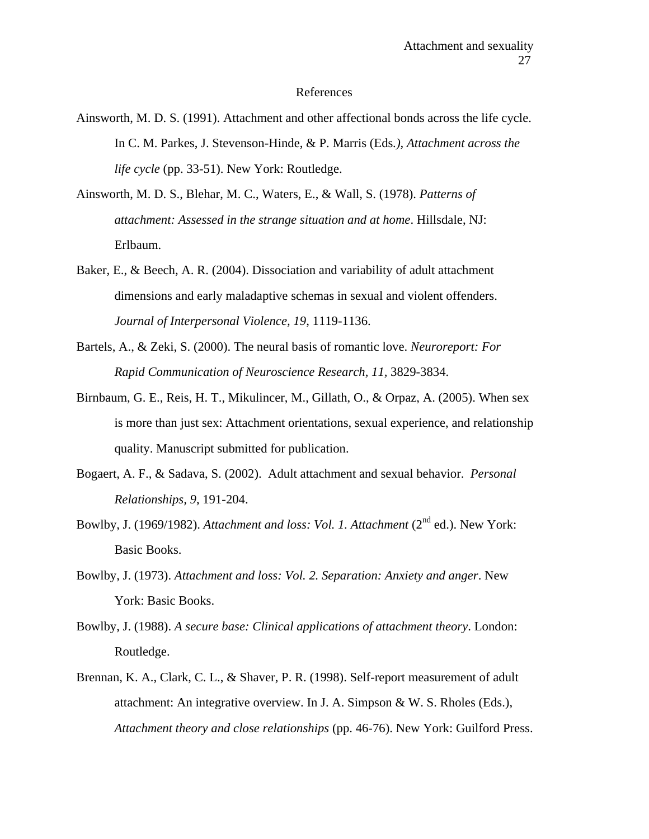## References

- Ainsworth, M. D. S. (1991). Attachment and other affectional bonds across the life cycle. In C. M. Parkes, J. Stevenson-Hinde, & P. Marris (Eds*.), Attachment across the life cycle* (pp. 33-51). New York: Routledge.
- Ainsworth, M. D. S., Blehar, M. C., Waters, E., & Wall, S. (1978). *Patterns of attachment: Assessed in the strange situation and at home*. Hillsdale, NJ: Erlbaum.
- Baker, E., & Beech, A. R. (2004). Dissociation and variability of adult attachment dimensions and early maladaptive schemas in sexual and violent offenders. *Journal of Interpersonal Violence, 19*, 1119-1136.
- Bartels, A., & Zeki, S. (2000). The neural basis of romantic love. *Neuroreport: For Rapid Communication of Neuroscience Research, 11,* 3829-3834.
- Birnbaum, G. E., Reis, H. T., Mikulincer, M., Gillath, O., & Orpaz, A. (2005). When sex is more than just sex: Attachment orientations, sexual experience, and relationship quality. Manuscript submitted for publication.
- Bogaert, A. F., & Sadava, S. (2002). Adult attachment and sexual behavior. *Personal Relationships, 9*, 191-204.
- Bowlby, J. (1969/1982). *Attachment and loss: Vol. 1. Attachment* (2<sup>nd</sup> ed.). New York: Basic Books.
- Bowlby, J. (1973). *Attachment and loss: Vol. 2. Separation: Anxiety and anger*. New York: Basic Books.
- Bowlby, J. (1988). *A secure base: Clinical applications of attachment theory*. London: Routledge.
- Brennan, K. A., Clark, C. L., & Shaver, P. R. (1998). Self-report measurement of adult attachment: An integrative overview. In J. A. Simpson & W. S. Rholes (Eds.), *Attachment theory and close relationships* (pp. 46-76). New York: Guilford Press.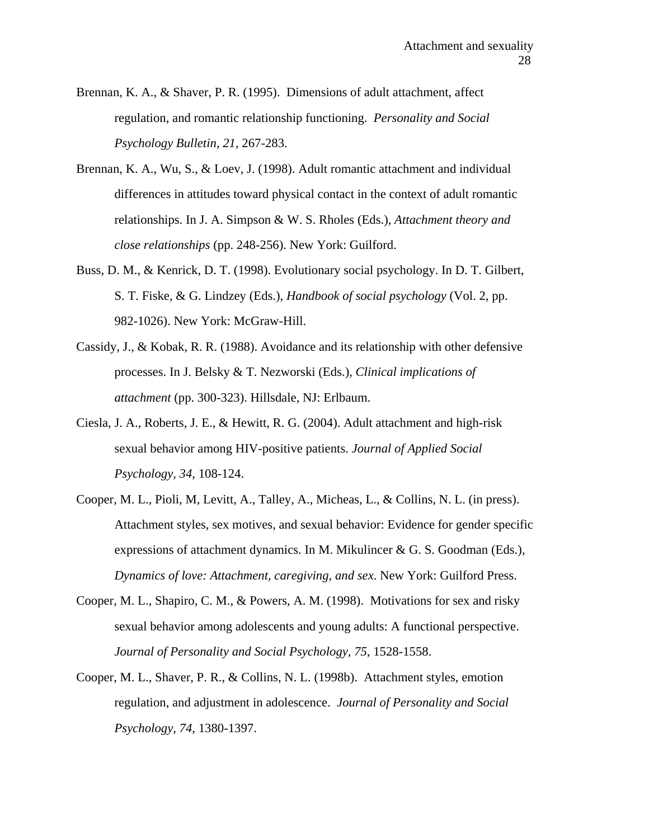- Brennan, K. A., & Shaver, P. R. (1995). Dimensions of adult attachment, affect regulation, and romantic relationship functioning. *Personality and Social Psychology Bulletin, 21*, 267-283.
- Brennan, K. A., Wu, S., & Loev, J. (1998). Adult romantic attachment and individual differences in attitudes toward physical contact in the context of adult romantic relationships. In J. A. Simpson & W. S. Rholes (Eds.), *Attachment theory and close relationships* (pp. 248-256). New York: Guilford.
- Buss, D. M., & Kenrick, D. T. (1998). Evolutionary social psychology. In D. T. Gilbert, S. T. Fiske, & G. Lindzey (Eds.), *Handbook of social psychology* (Vol. 2, pp. 982-1026). New York: McGraw-Hill.
- Cassidy, J., & Kobak, R. R. (1988). Avoidance and its relationship with other defensive processes. In J. Belsky & T. Nezworski (Eds.), *Clinical implications of attachment* (pp. 300-323). Hillsdale, NJ: Erlbaum.
- Ciesla, J. A., Roberts, J. E., & Hewitt, R. G. (2004). Adult attachment and high-risk sexual behavior among HIV-positive patients. *Journal of Applied Social Psychology, 34*, 108-124.
- Cooper, M. L., Pioli, M, Levitt, A., Talley, A., Micheas, L., & Collins, N. L. (in press). Attachment styles, sex motives, and sexual behavior: Evidence for gender specific expressions of attachment dynamics. In M. Mikulincer & G. S. Goodman (Eds.), *Dynamics of love: Attachment, caregiving, and sex*. New York: Guilford Press.
- Cooper, M. L., Shapiro, C. M., & Powers, A. M. (1998). Motivations for sex and risky sexual behavior among adolescents and young adults: A functional perspective. *Journal of Personality and Social Psychology, 75*, 1528-1558.
- Cooper, M. L., Shaver, P. R., & Collins, N. L. (1998b). Attachment styles, emotion regulation, and adjustment in adolescence. *Journal of Personality and Social Psychology, 74*, 1380-1397.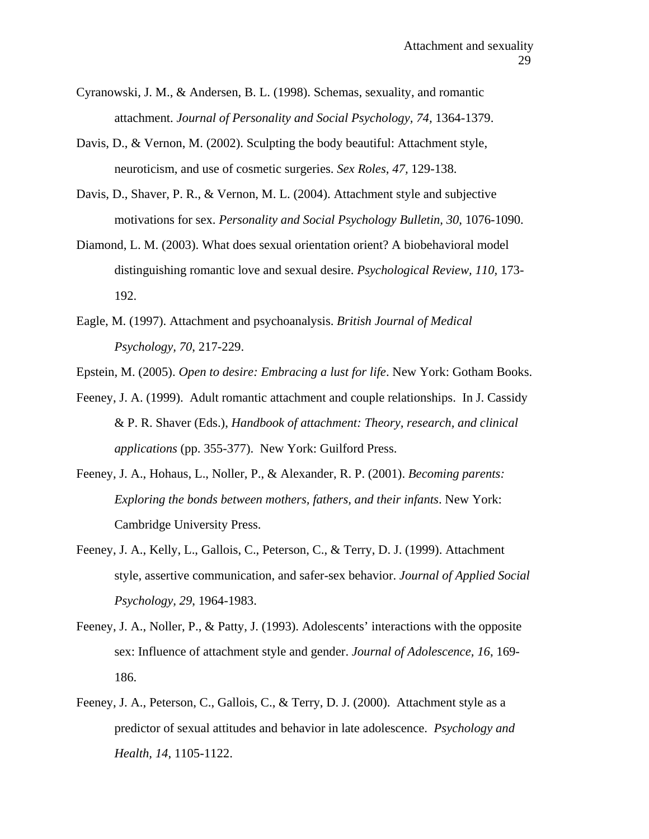- Cyranowski, J. M., & Andersen, B. L. (1998). Schemas, sexuality, and romantic attachment. *Journal of Personality and Social Psychology, 74,* 1364-1379.
- Davis, D., & Vernon, M. (2002). Sculpting the body beautiful: Attachment style, neuroticism, and use of cosmetic surgeries. *Sex Roles, 47,* 129-138.
- Davis, D., Shaver, P. R., & Vernon, M. L. (2004). Attachment style and subjective motivations for sex. *Personality and Social Psychology Bulletin, 30*, 1076-1090.
- Diamond, L. M. (2003). What does sexual orientation orient? A biobehavioral model distinguishing romantic love and sexual desire. *Psychological Review, 110,* 173- 192.
- Eagle, M. (1997). Attachment and psychoanalysis. *British Journal of Medical Psychology, 70*, 217-229.
- Epstein, M. (2005). *Open to desire: Embracing a lust for life*. New York: Gotham Books.
- Feeney, J. A. (1999). Adult romantic attachment and couple relationships. In J. Cassidy & P. R. Shaver (Eds.), *Handbook of attachment: Theory, research, and clinical applications* (pp. 355-377). New York: Guilford Press.
- Feeney, J. A., Hohaus, L., Noller, P., & Alexander, R. P. (2001). *Becoming parents: Exploring the bonds between mothers, fathers, and their infants*. New York: Cambridge University Press.
- Feeney, J. A., Kelly, L., Gallois, C., Peterson, C., & Terry, D. J. (1999). Attachment style, assertive communication, and safer-sex behavior. *Journal of Applied Social Psychology, 29*, 1964-1983.
- Feeney, J. A., Noller, P., & Patty, J. (1993). Adolescents' interactions with the opposite sex: Influence of attachment style and gender. *Journal of Adolescence, 16*, 169- 186.
- Feeney, J. A., Peterson, C., Gallois, C., & Terry, D. J. (2000). Attachment style as a predictor of sexual attitudes and behavior in late adolescence. *Psychology and Health, 14*, 1105-1122.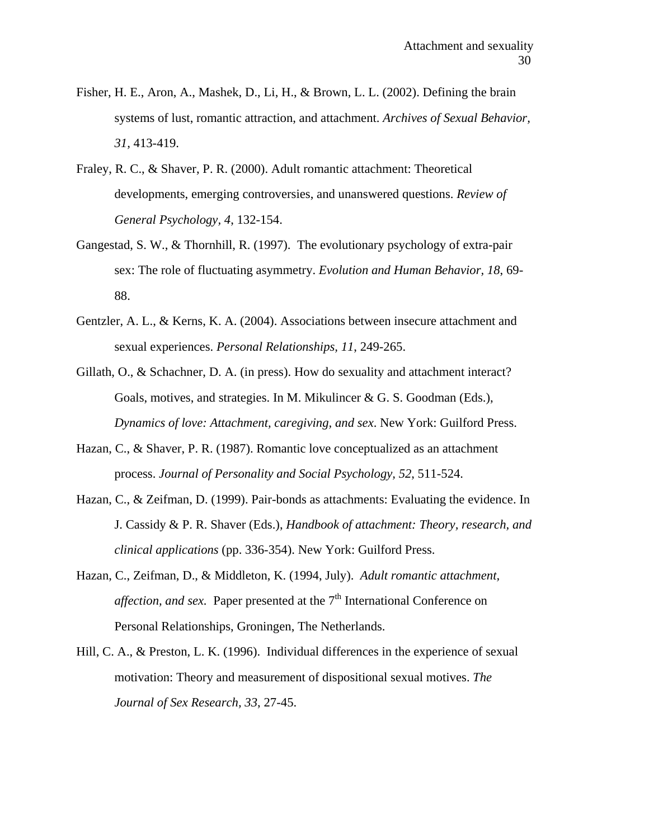- Fisher, H. E., Aron, A., Mashek, D., Li, H., & Brown, L. L. (2002). Defining the brain systems of lust, romantic attraction, and attachment. *Archives of Sexual Behavior, 31,* 413-419.
- Fraley, R. C., & Shaver, P. R. (2000). Adult romantic attachment: Theoretical developments, emerging controversies, and unanswered questions. *Review of General Psychology, 4*, 132-154.
- Gangestad, S. W., & Thornhill, R. (1997). The evolutionary psychology of extra-pair sex: The role of fluctuating asymmetry. *Evolution and Human Behavior, 18*, 69- 88.
- Gentzler, A. L., & Kerns, K. A. (2004). Associations between insecure attachment and sexual experiences. *Personal Relationships, 11*, 249-265.
- Gillath, O., & Schachner, D. A. (in press). How do sexuality and attachment interact? Goals, motives, and strategies. In M. Mikulincer & G. S. Goodman (Eds.), *Dynamics of love: Attachment, caregiving, and sex*. New York: Guilford Press.
- Hazan, C., & Shaver, P. R. (1987). Romantic love conceptualized as an attachment process. *Journal of Personality and Social Psychology, 52*, 511-524.
- Hazan, C., & Zeifman, D. (1999). Pair-bonds as attachments: Evaluating the evidence. In J. Cassidy & P. R. Shaver (Eds.), *Handbook of attachment: Theory, research, and clinical applications* (pp. 336-354). New York: Guilford Press.
- Hazan, C., Zeifman, D., & Middleton, K. (1994, July). *Adult romantic attachment, affection, and sex.* Paper presented at the 7<sup>th</sup> International Conference on Personal Relationships, Groningen, The Netherlands.
- Hill, C. A., & Preston, L. K. (1996). Individual differences in the experience of sexual motivation: Theory and measurement of dispositional sexual motives. *The Journal of Sex Research, 33*, 27-45.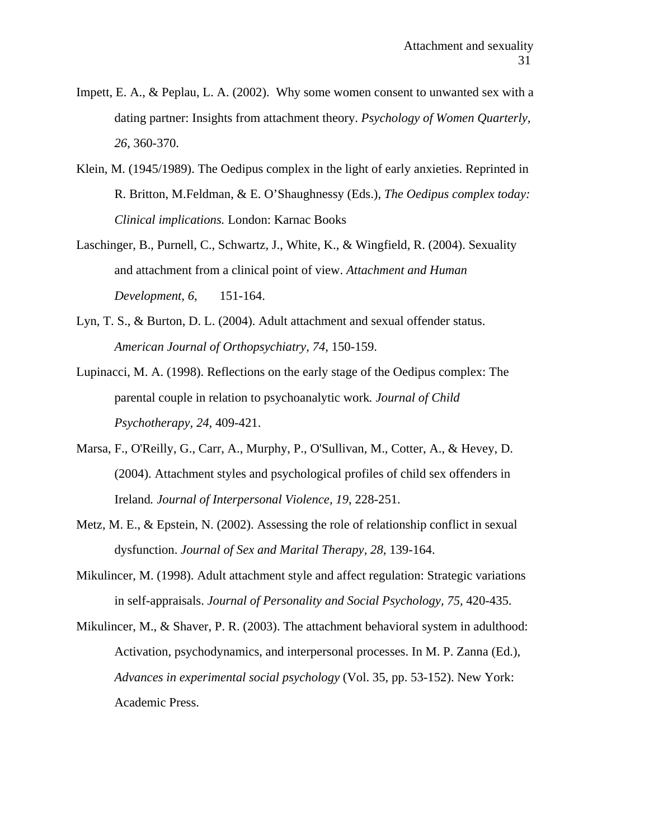- Impett, E. A., & Peplau, L. A. (2002). Why some women consent to unwanted sex with a dating partner: Insights from attachment theory. *Psychology of Women Quarterly, 26*, 360-370.
- Klein, M. (1945/1989). The Oedipus complex in the light of early anxieties. Reprinted in R. Britton, M.Feldman, & E. O'Shaughnessy (Eds.), *The Oedipus complex today: Clinical implications.* London: Karnac Books
- Laschinger, B., Purnell, C., Schwartz, J., White, K., & Wingfield, R. (2004). Sexuality and attachment from a clinical point of view. *Attachment and Human Development, 6*, 151-164.
- Lyn, T. S., & Burton, D. L. (2004). Adult attachment and sexual offender status. *American Journal of Orthopsychiatry, 74*, 150-159.
- Lupinacci, M. A. (1998). Reflections on the early stage of the Oedipus complex: The parental couple in relation to psychoanalytic work*. Journal of Child Psychotherapy, 24*, 409-421.
- Marsa, F., O'Reilly, G., Carr, A., Murphy, P., O'Sullivan, M., Cotter, A., & Hevey, D. (2004). Attachment styles and psychological profiles of child sex offenders in Ireland*. Journal of Interpersonal Violence, 19*, 228-251.
- Metz, M. E., & Epstein, N. (2002). Assessing the role of relationship conflict in sexual dysfunction. *Journal of Sex and Marital Therapy, 28,* 139-164.
- Mikulincer, M. (1998). Adult attachment style and affect regulation: Strategic variations in self-appraisals. *Journal of Personality and Social Psychology, 75,* 420-435.
- Mikulincer, M., & Shaver, P. R. (2003). The attachment behavioral system in adulthood: Activation, psychodynamics, and interpersonal processes. In M. P. Zanna (Ed.), *Advances in experimental social psychology* (Vol. 35, pp. 53-152). New York: Academic Press.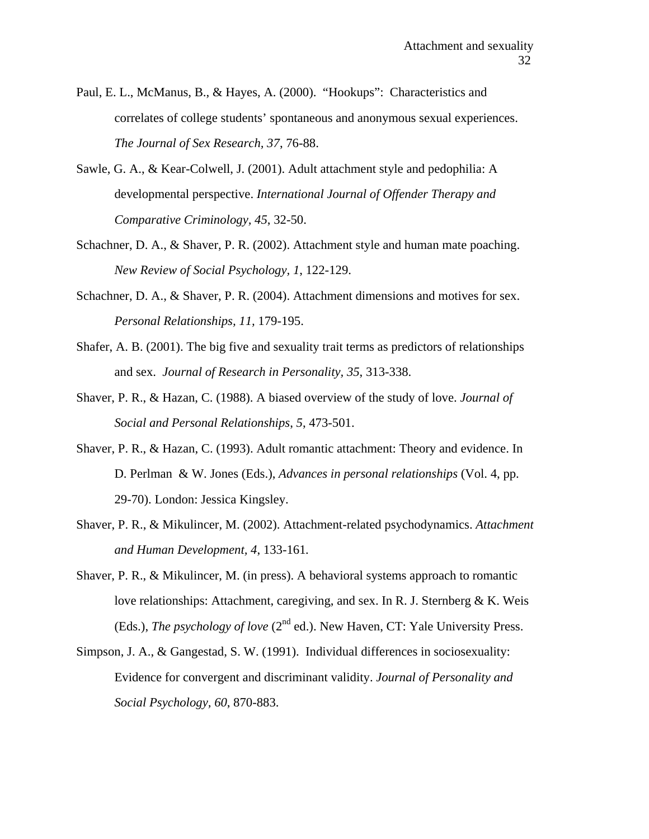- Paul, E. L., McManus, B., & Hayes, A. (2000). "Hookups": Characteristics and correlates of college students' spontaneous and anonymous sexual experiences. *The Journal of Sex Research, 37*, 76-88.
- Sawle, G. A., & Kear-Colwell, J. (2001). Adult attachment style and pedophilia: A developmental perspective. *International Journal of Offender Therapy and Comparative Criminology, 45*, 32-50.
- Schachner, D. A., & Shaver, P. R. (2002). Attachment style and human mate poaching. *New Review of Social Psychology, 1*, 122-129.
- Schachner, D. A., & Shaver, P. R. (2004). Attachment dimensions and motives for sex. *Personal Relationships, 11,* 179-195.
- Shafer, A. B. (2001). The big five and sexuality trait terms as predictors of relationships and sex. *Journal of Research in Personality, 35*, 313-338.
- Shaver, P. R., & Hazan, C. (1988). A biased overview of the study of love. *Journal of Social and Personal Relationships*, *5*, 473-501.
- Shaver, P. R., & Hazan, C. (1993). Adult romantic attachment: Theory and evidence. In D. Perlman & W. Jones (Eds.), *Advances in personal relationships* (Vol. 4, pp. 29-70). London: Jessica Kingsley.
- Shaver, P. R., & Mikulincer, M. (2002). Attachment-related psychodynamics. *Attachment and Human Development, 4*, 133-161*.*
- Shaver, P. R., & Mikulincer, M. (in press). A behavioral systems approach to romantic love relationships: Attachment, caregiving, and sex. In R. J. Sternberg & K. Weis (Eds.), *The psychology of love* (2<sup>nd</sup> ed.). New Haven, CT: Yale University Press.
- Simpson, J. A., & Gangestad, S. W. (1991). Individual differences in sociosexuality: Evidence for convergent and discriminant validity. *Journal of Personality and Social Psychology, 60*, 870-883.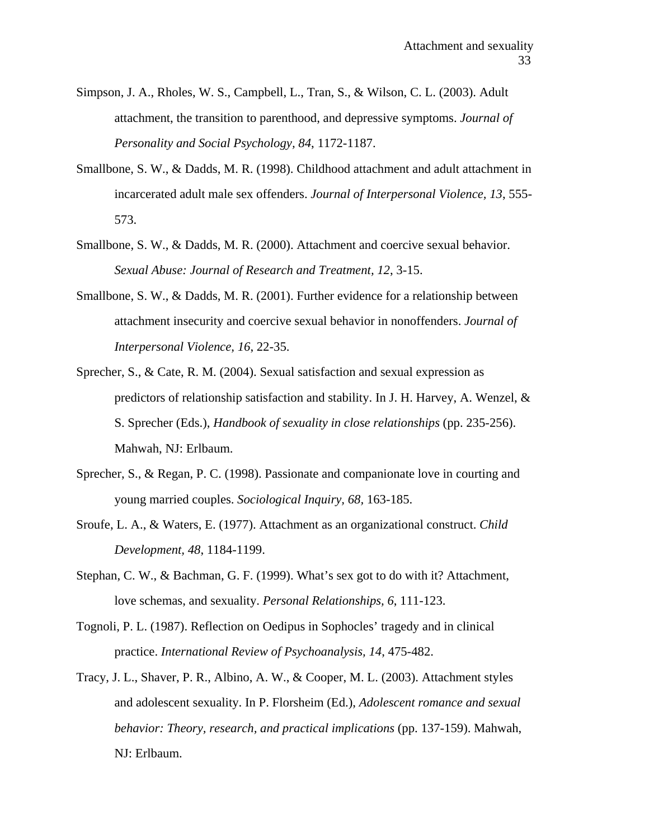- Simpson, J. A., Rholes, W. S., Campbell, L., Tran, S., & Wilson, C. L. (2003). Adult attachment, the transition to parenthood, and depressive symptoms. *Journal of Personality and Social Psychology, 84*, 1172-1187.
- Smallbone, S. W., & Dadds, M. R. (1998). Childhood attachment and adult attachment in incarcerated adult male sex offenders. *Journal of Interpersonal Violence, 13*, 555- 573.
- Smallbone, S. W., & Dadds, M. R. (2000). Attachment and coercive sexual behavior. *Sexual Abuse: Journal of Research and Treatment, 12*, 3-15.
- Smallbone, S. W., & Dadds, M. R. (2001). Further evidence for a relationship between attachment insecurity and coercive sexual behavior in nonoffenders. *Journal of Interpersonal Violence, 16*, 22-35.
- Sprecher, S., & Cate, R. M. (2004). Sexual satisfaction and sexual expression as predictors of relationship satisfaction and stability. In J. H. Harvey, A. Wenzel, & S. Sprecher (Eds.), *Handbook of sexuality in close relationships* (pp. 235-256). Mahwah, NJ: Erlbaum.
- Sprecher, S., & Regan, P. C. (1998). Passionate and companionate love in courting and young married couples. *Sociological Inquiry, 68,* 163-185.
- Sroufe, L. A., & Waters, E. (1977). Attachment as an organizational construct. *Child Development, 48*, 1184-1199.
- Stephan, C. W., & Bachman, G. F. (1999). What's sex got to do with it? Attachment, love schemas, and sexuality. *Personal Relationships, 6*, 111-123.
- Tognoli, P. L. (1987). Reflection on Oedipus in Sophocles' tragedy and in clinical practice. *International Review of Psychoanalysis, 14*, 475-482.
- Tracy, J. L., Shaver, P. R., Albino, A. W., & Cooper, M. L. (2003). Attachment styles and adolescent sexuality. In P. Florsheim (Ed.), *Adolescent romance and sexual behavior: Theory, research, and practical implications* (pp. 137-159). Mahwah, NJ: Erlbaum.